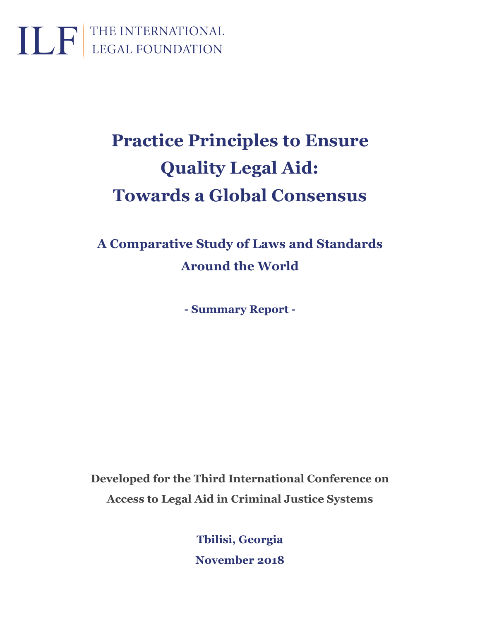

# **Practice Principles to Ensure Quality Legal Aid: Towards a Global Consensus**

**A Comparative Study of Laws and Standards Around the World**

**- Summary Report -**

**Developed for the Third International Conference on Access to Legal Aid in Criminal Justice Systems**

> **Tbilisi, Georgia November 2018**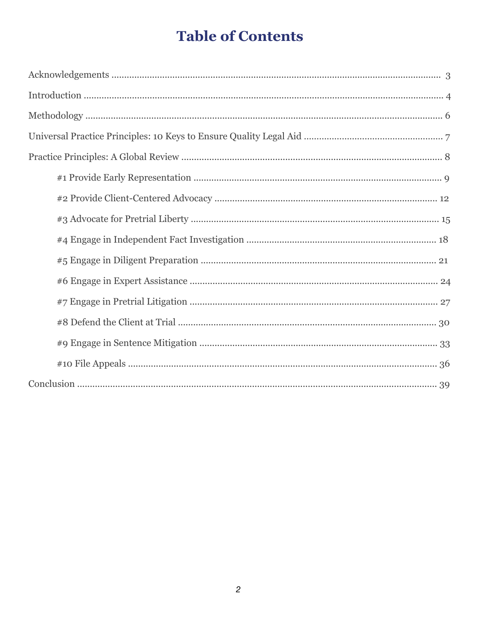# **Table of Contents**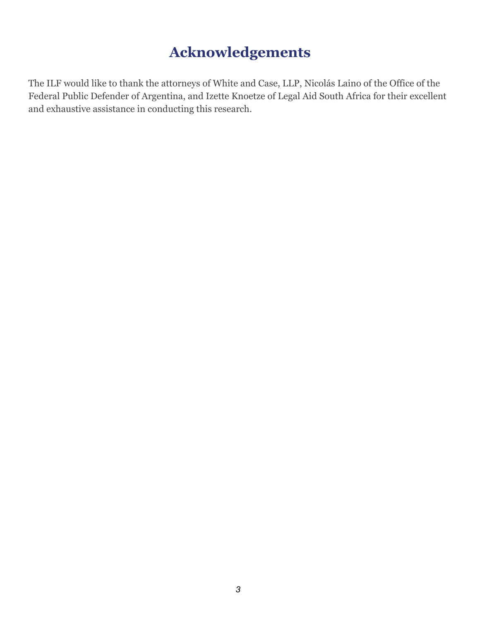## **Acknowledgements**

The ILF would like to thank the attorneys of White and Case, LLP, Nicolás Laino of the Office of the Federal Public Defender of Argentina, and Izette Knoetze of Legal Aid South Africa for their excellent and exhaustive assistance in conducting this research.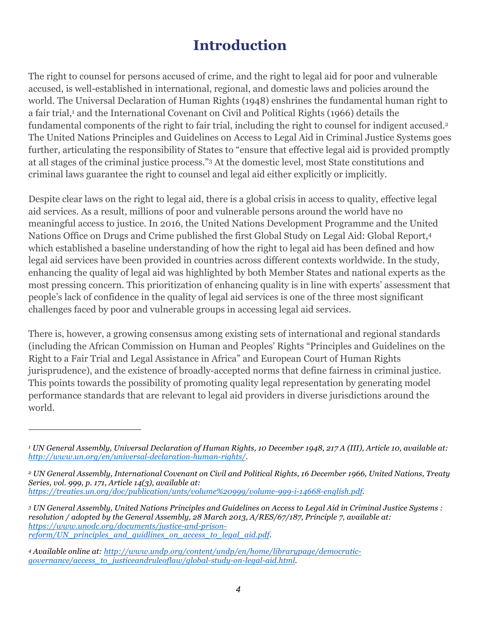### **Introduction**

The right to counsel for persons accused of crime, and the right to legal aid for poor and vulnerable accused, is well-established in international, regional, and domestic laws and policies around the world. The Universal Declaration of Human Rights (1948) enshrines the fundamental human right to a fair trial,<sup>1</sup> and the International Covenant on Civil and Political Rights (1966) details the fundamental components of the right to fair trial, including the right to counsel for indigent accused.2 The United Nations Principles and Guidelines on Access to Legal Aid in Criminal Justice Systems goes further, articulating the responsibility of States to "ensure that effective legal aid is provided promptly at all stages of the criminal justice process."3 At the domestic level, most State constitutions and criminal laws guarantee the right to counsel and legal aid either explicitly or implicitly.

Despite clear laws on the right to legal aid, there is a global crisis in access to quality, effective legal aid services. As a result, millions of poor and vulnerable persons around the world have no meaningful access to justice. In 2016, the United Nations Development Programme and the United Nations Office on Drugs and Crime published the first Global Study on Legal Aid: Global Report,4 which established a baseline understanding of how the right to legal aid has been defined and how legal aid services have been provided in countries across different contexts worldwide. In the study, enhancing the quality of legal aid was highlighted by both Member States and national experts as the most pressing concern. This prioritization of enhancing quality is in line with experts' assessment that people's lack of confidence in the quality of legal aid services is one of the three most significant challenges faced by poor and vulnerable groups in accessing legal aid services.

There is, however, a growing consensus among existing sets of international and regional standards (including the African Commission on Human and Peoples' Rights "Principles and Guidelines on the Right to a Fair Trial and Legal Assistance in Africa" and European Court of Human Rights jurisprudence), and the existence of broadly-accepted norms that define fairness in criminal justice. This points towards the possibility of promoting quality legal representation by generating model performance standards that are relevant to legal aid providers in diverse jurisdictions around the world.

*<sup>1</sup> UN General Assembly, Universal Declaration of Human Rights, 10 December 1948, 217 A (III), Article 10, available at: http://www.un.org/en/universal-declaration-human-rights/.* 

*<sup>2</sup> UN General Assembly, International Covenant on Civil and Political Rights, 16 December 1966, United Nations, Treaty Series, vol. 999, p. 171, Article 14(3), available at: https://treaties.un.org/doc/publication/unts/volume%20999/volume-999-i-14668-english.pdf.* 

*<sup>3</sup> UN General Assembly, United Nations Principles and Guidelines on Access to Legal Aid in Criminal Justice Systems : resolution / adopted by the General Assembly, 28 March 2013, A/RES/67/187, Principle 7, available at: https://www.unodc.org/documents/justice-and-prisonreform/UN\_principles\_and\_guidlines\_on\_access\_to\_legal\_aid.pdf.* 

*<sup>4</sup> Available online at: http://www.undp.org/content/undp/en/home/librarypage/democraticgovernance/access\_to\_justiceandruleoflaw/global-study-on-legal-aid.html.*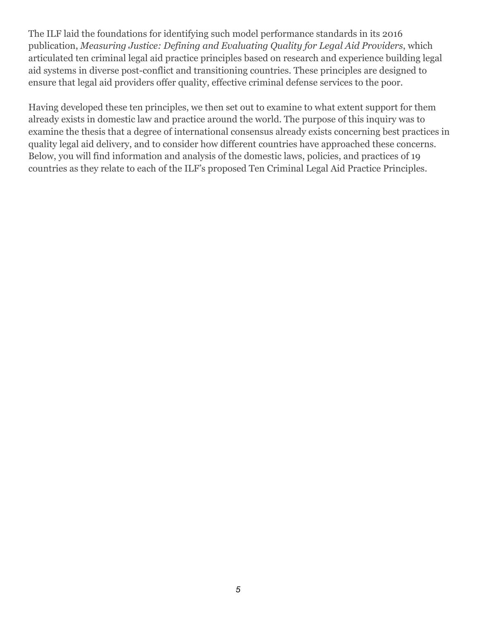The ILF laid the foundations for identifying such model performance standards in its 2016 publication, *Measuring Justice: Defining and Evaluating Quality for Legal Aid Providers*, which articulated ten criminal legal aid practice principles based on research and experience building legal aid systems in diverse post-conflict and transitioning countries. These principles are designed to ensure that legal aid providers offer quality, effective criminal defense services to the poor.

Having developed these ten principles, we then set out to examine to what extent support for them already exists in domestic law and practice around the world. The purpose of this inquiry was to examine the thesis that a degree of international consensus already exists concerning best practices in quality legal aid delivery, and to consider how different countries have approached these concerns. Below, you will find information and analysis of the domestic laws, policies, and practices of 19 countries as they relate to each of the ILF's proposed Ten Criminal Legal Aid Practice Principles.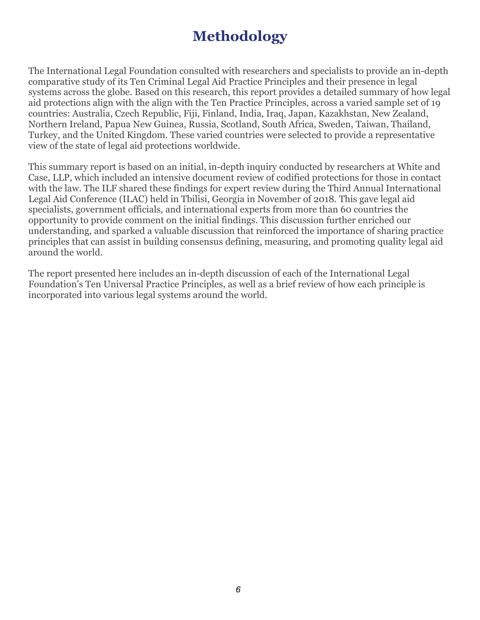# **Methodology**

The International Legal Foundation consulted with researchers and specialists to provide an in-depth comparative study of its Ten Criminal Legal Aid Practice Principles and their presence in legal systems across the globe. Based on this research, this report provides a detailed summary of how legal aid protections align with the align with the Ten Practice Principles, across a varied sample set of 19 countries: Australia, Czech Republic, Fiji, Finland, India, Iraq, Japan, Kazakhstan, New Zealand, Northern Ireland, Papua New Guinea, Russia, Scotland, South Africa, Sweden, Taiwan, Thailand, Turkey, and the United Kingdom. These varied countries were selected to provide a representative view of the state of legal aid protections worldwide.

This summary report is based on an initial, in-depth inquiry conducted by researchers at White and Case, LLP, which included an intensive document review of codified protections for those in contact with the law. The ILF shared these findings for expert review during the Third Annual International Legal Aid Conference (ILAC) held in Tbilisi, Georgia in November of 2018. This gave legal aid specialists, government officials, and international experts from more than 60 countries the opportunity to provide comment on the initial findings. This discussion further enriched our understanding, and sparked a valuable discussion that reinforced the importance of sharing practice principles that can assist in building consensus defining, measuring, and promoting quality legal aid around the world.

The report presented here includes an in-depth discussion of each of the International Legal Foundation's Ten Universal Practice Principles, as well as a brief review of how each principle is incorporated into various legal systems around the world.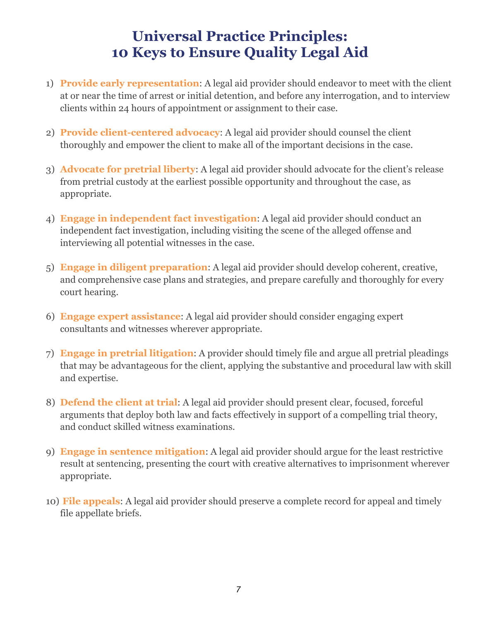### **Universal Practice Principles: 10 Keys to Ensure Quality Legal Aid**

- 1) **Provide early representation**: A legal aid provider should endeavor to meet with the client at or near the time of arrest or initial detention, and before any interrogation, and to interview clients within 24 hours of appointment or assignment to their case.
- 2) **Provide client-centered advocacy**: A legal aid provider should counsel the client thoroughly and empower the client to make all of the important decisions in the case.
- 3) **Advocate for pretrial liberty**: A legal aid provider should advocate for the client's release from pretrial custody at the earliest possible opportunity and throughout the case, as appropriate.
- 4) **Engage in independent fact investigation**: A legal aid provider should conduct an independent fact investigation, including visiting the scene of the alleged offense and interviewing all potential witnesses in the case.
- 5) **Engage in diligent preparation**: A legal aid provider should develop coherent, creative, and comprehensive case plans and strategies, and prepare carefully and thoroughly for every court hearing.
- 6) **Engage expert assistance**: A legal aid provider should consider engaging expert consultants and witnesses wherever appropriate.
- 7) **Engage in pretrial litigation**: A provider should timely file and argue all pretrial pleadings that may be advantageous for the client, applying the substantive and procedural law with skill and expertise.
- 8) **Defend the client at trial**: A legal aid provider should present clear, focused, forceful arguments that deploy both law and facts effectively in support of a compelling trial theory, and conduct skilled witness examinations.
- 9) **Engage in sentence mitigation**: A legal aid provider should argue for the least restrictive result at sentencing, presenting the court with creative alternatives to imprisonment wherever appropriate.
- 10) **File appeals**: A legal aid provider should preserve a complete record for appeal and timely file appellate briefs.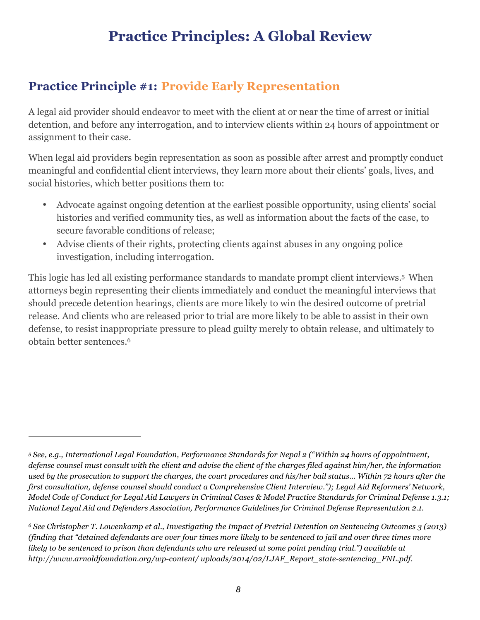### **Practice Principles: A Global Review**

#### **Practice Principle #1: Provide Early Representation**

A legal aid provider should endeavor to meet with the client at or near the time of arrest or initial detention, and before any interrogation, and to interview clients within 24 hours of appointment or assignment to their case.

When legal aid providers begin representation as soon as possible after arrest and promptly conduct meaningful and confidential client interviews, they learn more about their clients' goals, lives, and social histories, which better positions them to:

- Advocate against ongoing detention at the earliest possible opportunity, using clients' social histories and verified community ties, as well as information about the facts of the case, to secure favorable conditions of release;
- Advise clients of their rights, protecting clients against abuses in any ongoing police investigation, including interrogation.

This logic has led all existing performance standards to mandate prompt client interviews.5 When attorneys begin representing their clients immediately and conduct the meaningful interviews that should precede detention hearings, clients are more likely to win the desired outcome of pretrial release. And clients who are released prior to trial are more likely to be able to assist in their own defense, to resist inappropriate pressure to plead guilty merely to obtain release, and ultimately to obtain better sentences.6

*<sup>5</sup> See, e.g., International Legal Foundation, Performance Standards for Nepal 2 ("Within 24 hours of appointment, defense counsel must consult with the client and advise the client of the charges filed against him/her, the information used by the prosecution to support the charges, the court procedures and his/her bail status… Within 72 hours after the first consultation, defense counsel should conduct a Comprehensive Client Interview."); Legal Aid Reformers' Network, Model Code of Conduct for Legal Aid Lawyers in Criminal Cases & Model Practice Standards for Criminal Defense 1.3.1; National Legal Aid and Defenders Association, Performance Guidelines for Criminal Defense Representation 2.1.*

*<sup>6</sup> See Christopher T. Lowenkamp et al., Investigating the Impact of Pretrial Detention on Sentencing Outcomes 3 (2013) (finding that "detained defendants are over four times more likely to be sentenced to jail and over three times more likely to be sentenced to prison than defendants who are released at some point pending trial.") available at http://www.arnoldfoundation.org/wp-content/ uploads/2014/02/LJAF\_Report\_state-sentencing\_FNL.pdf.*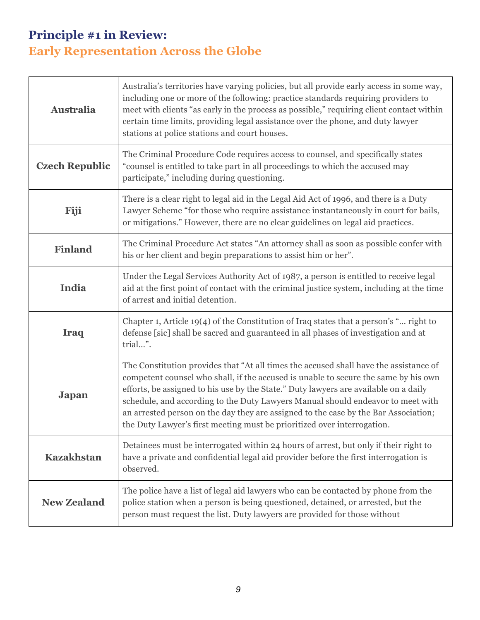### **Principle #1 in Review: Early Representation Across the Globe**

| <b>Australia</b>      | Australia's territories have varying policies, but all provide early access in some way,<br>including one or more of the following: practice standards requiring providers to<br>meet with clients "as early in the process as possible," requiring client contact within<br>certain time limits, providing legal assistance over the phone, and duty lawyer<br>stations at police stations and court houses.                                                                                                             |
|-----------------------|---------------------------------------------------------------------------------------------------------------------------------------------------------------------------------------------------------------------------------------------------------------------------------------------------------------------------------------------------------------------------------------------------------------------------------------------------------------------------------------------------------------------------|
| <b>Czech Republic</b> | The Criminal Procedure Code requires access to counsel, and specifically states<br>"counsel is entitled to take part in all proceedings to which the accused may<br>participate," including during questioning.                                                                                                                                                                                                                                                                                                           |
| Fiji                  | There is a clear right to legal aid in the Legal Aid Act of 1996, and there is a Duty<br>Lawyer Scheme "for those who require assistance instantaneously in court for bails,<br>or mitigations." However, there are no clear guidelines on legal aid practices.                                                                                                                                                                                                                                                           |
| <b>Finland</b>        | The Criminal Procedure Act states "An attorney shall as soon as possible confer with<br>his or her client and begin preparations to assist him or her".                                                                                                                                                                                                                                                                                                                                                                   |
| <b>India</b>          | Under the Legal Services Authority Act of 1987, a person is entitled to receive legal<br>aid at the first point of contact with the criminal justice system, including at the time<br>of arrest and initial detention.                                                                                                                                                                                                                                                                                                    |
| <b>Iraq</b>           | Chapter 1, Article 19(4) of the Constitution of Iraq states that a person's " right to<br>defense [sic] shall be sacred and guaranteed in all phases of investigation and at<br>trial".                                                                                                                                                                                                                                                                                                                                   |
| Japan                 | The Constitution provides that "At all times the accused shall have the assistance of<br>competent counsel who shall, if the accused is unable to secure the same by his own<br>efforts, be assigned to his use by the State." Duty lawyers are available on a daily<br>schedule, and according to the Duty Lawyers Manual should endeavor to meet with<br>an arrested person on the day they are assigned to the case by the Bar Association;<br>the Duty Lawyer's first meeting must be prioritized over interrogation. |
| <b>Kazakhstan</b>     | Detainees must be interrogated within 24 hours of arrest, but only if their right to<br>have a private and confidential legal aid provider before the first interrogation is<br>observed.                                                                                                                                                                                                                                                                                                                                 |
| <b>New Zealand</b>    | The police have a list of legal aid lawyers who can be contacted by phone from the<br>police station when a person is being questioned, detained, or arrested, but the<br>person must request the list. Duty lawyers are provided for those without                                                                                                                                                                                                                                                                       |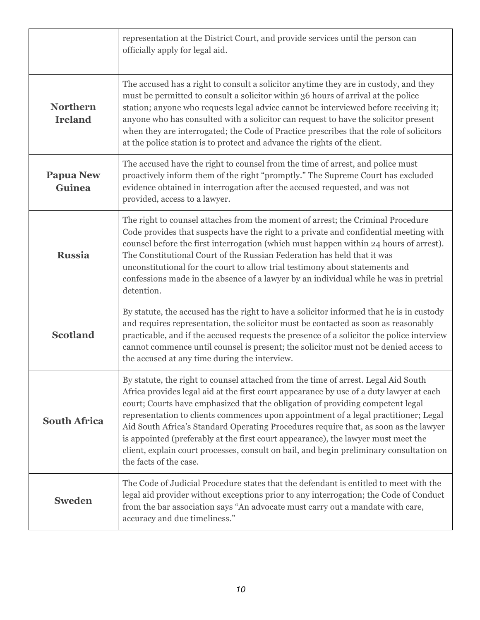|                                   | representation at the District Court, and provide services until the person can<br>officially apply for legal aid.                                                                                                                                                                                                                                                                                                                                                                                                                                                                                                                                       |
|-----------------------------------|----------------------------------------------------------------------------------------------------------------------------------------------------------------------------------------------------------------------------------------------------------------------------------------------------------------------------------------------------------------------------------------------------------------------------------------------------------------------------------------------------------------------------------------------------------------------------------------------------------------------------------------------------------|
| <b>Northern</b><br><b>Ireland</b> | The accused has a right to consult a solicitor anytime they are in custody, and they<br>must be permitted to consult a solicitor within 36 hours of arrival at the police<br>station; anyone who requests legal advice cannot be interviewed before receiving it;<br>anyone who has consulted with a solicitor can request to have the solicitor present<br>when they are interrogated; the Code of Practice prescribes that the role of solicitors<br>at the police station is to protect and advance the rights of the client.                                                                                                                         |
| <b>Papua New</b><br><b>Guinea</b> | The accused have the right to counsel from the time of arrest, and police must<br>proactively inform them of the right "promptly." The Supreme Court has excluded<br>evidence obtained in interrogation after the accused requested, and was not<br>provided, access to a lawyer.                                                                                                                                                                                                                                                                                                                                                                        |
| <b>Russia</b>                     | The right to counsel attaches from the moment of arrest; the Criminal Procedure<br>Code provides that suspects have the right to a private and confidential meeting with<br>counsel before the first interrogation (which must happen within 24 hours of arrest).<br>The Constitutional Court of the Russian Federation has held that it was<br>unconstitutional for the court to allow trial testimony about statements and<br>confessions made in the absence of a lawyer by an individual while he was in pretrial<br>detention.                                                                                                                      |
| <b>Scotland</b>                   | By statute, the accused has the right to have a solicitor informed that he is in custody<br>and requires representation, the solicitor must be contacted as soon as reasonably<br>practicable, and if the accused requests the presence of a solicitor the police interview<br>cannot commence until counsel is present; the solicitor must not be denied access to<br>the accused at any time during the interview.                                                                                                                                                                                                                                     |
| <b>South Africa</b>               | By statute, the right to counsel attached from the time of arrest. Legal Aid South<br>Africa provides legal aid at the first court appearance by use of a duty lawyer at each<br>court; Courts have emphasized that the obligation of providing competent legal<br>representation to clients commences upon appointment of a legal practitioner; Legal<br>Aid South Africa's Standard Operating Procedures require that, as soon as the lawyer<br>is appointed (preferably at the first court appearance), the lawyer must meet the<br>client, explain court processes, consult on bail, and begin preliminary consultation on<br>the facts of the case. |
| <b>Sweden</b>                     | The Code of Judicial Procedure states that the defendant is entitled to meet with the<br>legal aid provider without exceptions prior to any interrogation; the Code of Conduct<br>from the bar association says "An advocate must carry out a mandate with care,<br>accuracy and due timeliness."                                                                                                                                                                                                                                                                                                                                                        |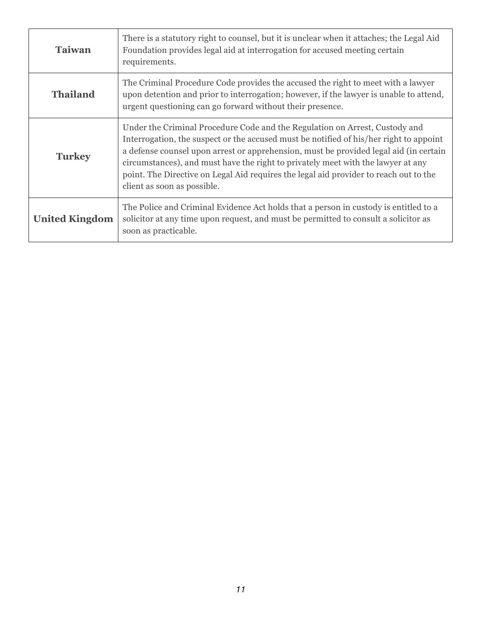| <b>Taiwan</b>         | There is a statutory right to counsel, but it is unclear when it attaches; the Legal Aid<br>Foundation provides legal aid at interrogation for accused meeting certain<br>requirements.                                                                                                                                                                                                                                                                                    |
|-----------------------|----------------------------------------------------------------------------------------------------------------------------------------------------------------------------------------------------------------------------------------------------------------------------------------------------------------------------------------------------------------------------------------------------------------------------------------------------------------------------|
| <b>Thailand</b>       | The Criminal Procedure Code provides the accused the right to meet with a lawyer<br>upon detention and prior to interrogation; however, if the lawyer is unable to attend,<br>urgent questioning can go forward without their presence.                                                                                                                                                                                                                                    |
| <b>Turkey</b>         | Under the Criminal Procedure Code and the Regulation on Arrest, Custody and<br>Interrogation, the suspect or the accused must be notified of his/her right to appoint<br>a defense counsel upon arrest or apprehension, must be provided legal aid (in certain<br>circumstances), and must have the right to privately meet with the lawyer at any<br>point. The Directive on Legal Aid requires the legal aid provider to reach out to the<br>client as soon as possible. |
| <b>United Kingdom</b> | The Police and Criminal Evidence Act holds that a person in custody is entitled to a<br>solicitor at any time upon request, and must be permitted to consult a solicitor as<br>soon as practicable.                                                                                                                                                                                                                                                                        |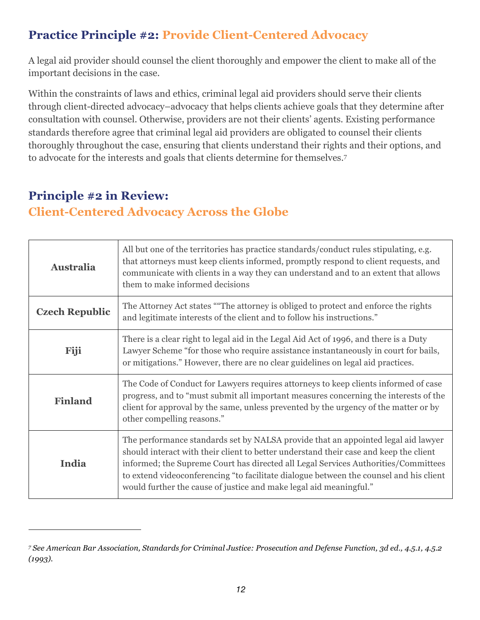### **Practice Principle #2: Provide Client-Centered Advocacy**

A legal aid provider should counsel the client thoroughly and empower the client to make all of the important decisions in the case.

Within the constraints of laws and ethics, criminal legal aid providers should serve their clients through client-directed advocacy–advocacy that helps clients achieve goals that they determine after consultation with counsel. Otherwise, providers are not their clients' agents. Existing performance standards therefore agree that criminal legal aid providers are obligated to counsel their clients thoroughly throughout the case, ensuring that clients understand their rights and their options, and to advocate for the interests and goals that clients determine for themselves.7

#### **Principle #2 in Review: Client-Centered Advocacy Across the Globe**

| <b>Australia</b>      | All but one of the territories has practice standards/conduct rules stipulating, e.g.<br>that attorneys must keep clients informed, promptly respond to client requests, and<br>communicate with clients in a way they can understand and to an extent that allows<br>them to make informed decisions                                                                                                                            |
|-----------------------|----------------------------------------------------------------------------------------------------------------------------------------------------------------------------------------------------------------------------------------------------------------------------------------------------------------------------------------------------------------------------------------------------------------------------------|
| <b>Czech Republic</b> | The Attorney Act states ""The attorney is obliged to protect and enforce the rights<br>and legitimate interests of the client and to follow his instructions."                                                                                                                                                                                                                                                                   |
| Fiji                  | There is a clear right to legal aid in the Legal Aid Act of 1996, and there is a Duty<br>Lawyer Scheme "for those who require assistance instantaneously in court for bails,<br>or mitigations." However, there are no clear guidelines on legal aid practices.                                                                                                                                                                  |
| <b>Finland</b>        | The Code of Conduct for Lawyers requires attorneys to keep clients informed of case<br>progress, and to "must submit all important measures concerning the interests of the<br>client for approval by the same, unless prevented by the urgency of the matter or by<br>other compelling reasons."                                                                                                                                |
| India                 | The performance standards set by NALSA provide that an appointed legal aid lawyer<br>should interact with their client to better understand their case and keep the client<br>informed; the Supreme Court has directed all Legal Services Authorities/Committees<br>to extend videoconferencing "to facilitate dialogue between the counsel and his client<br>would further the cause of justice and make legal aid meaningful." |

*<sup>7</sup> See American Bar Association, Standards for Criminal Justice: Prosecution and Defense Function, 3d ed., 4.5.1, 4.5.2 (1993).*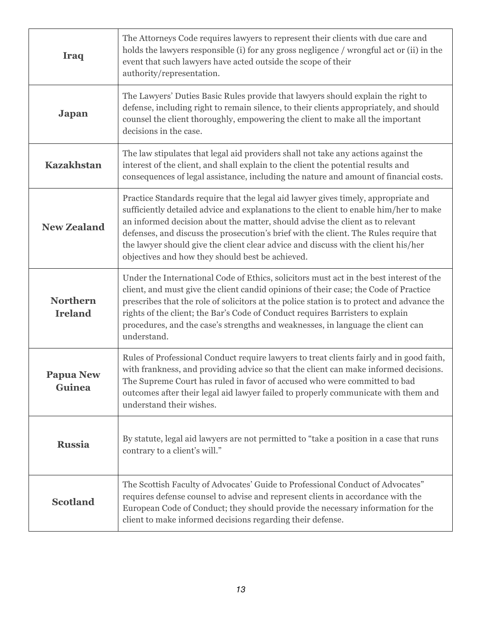| <b>Iraq</b>                       | The Attorneys Code requires lawyers to represent their clients with due care and<br>holds the lawyers responsible (i) for any gross negligence / wrongful act or (ii) in the<br>event that such lawyers have acted outside the scope of their<br>authority/representation.                                                                                                                                                                                                                       |
|-----------------------------------|--------------------------------------------------------------------------------------------------------------------------------------------------------------------------------------------------------------------------------------------------------------------------------------------------------------------------------------------------------------------------------------------------------------------------------------------------------------------------------------------------|
| <b>Japan</b>                      | The Lawyers' Duties Basic Rules provide that lawyers should explain the right to<br>defense, including right to remain silence, to their clients appropriately, and should<br>counsel the client thoroughly, empowering the client to make all the important<br>decisions in the case.                                                                                                                                                                                                           |
| <b>Kazakhstan</b>                 | The law stipulates that legal aid providers shall not take any actions against the<br>interest of the client, and shall explain to the client the potential results and<br>consequences of legal assistance, including the nature and amount of financial costs.                                                                                                                                                                                                                                 |
| <b>New Zealand</b>                | Practice Standards require that the legal aid lawyer gives timely, appropriate and<br>sufficiently detailed advice and explanations to the client to enable him/her to make<br>an informed decision about the matter, should advise the client as to relevant<br>defenses, and discuss the prosecution's brief with the client. The Rules require that<br>the lawyer should give the client clear advice and discuss with the client his/her<br>objectives and how they should best be achieved. |
| <b>Northern</b><br><b>Ireland</b> | Under the International Code of Ethics, solicitors must act in the best interest of the<br>client, and must give the client candid opinions of their case; the Code of Practice<br>prescribes that the role of solicitors at the police station is to protect and advance the<br>rights of the client; the Bar's Code of Conduct requires Barristers to explain<br>procedures, and the case's strengths and weaknesses, in language the client can<br>understand.                                |
| <b>Papua New</b><br>Guinea        | Rules of Professional Conduct require lawyers to treat clients fairly and in good faith,<br>with frankness, and providing advice so that the client can make informed decisions.<br>The Supreme Court has ruled in favor of accused who were committed to bad<br>outcomes after their legal aid lawyer failed to properly communicate with them and<br>understand their wishes.                                                                                                                  |
| <b>Russia</b>                     | By statute, legal aid lawyers are not permitted to "take a position in a case that runs<br>contrary to a client's will."                                                                                                                                                                                                                                                                                                                                                                         |
| <b>Scotland</b>                   | The Scottish Faculty of Advocates' Guide to Professional Conduct of Advocates"<br>requires defense counsel to advise and represent clients in accordance with the<br>European Code of Conduct; they should provide the necessary information for the<br>client to make informed decisions regarding their defense.                                                                                                                                                                               |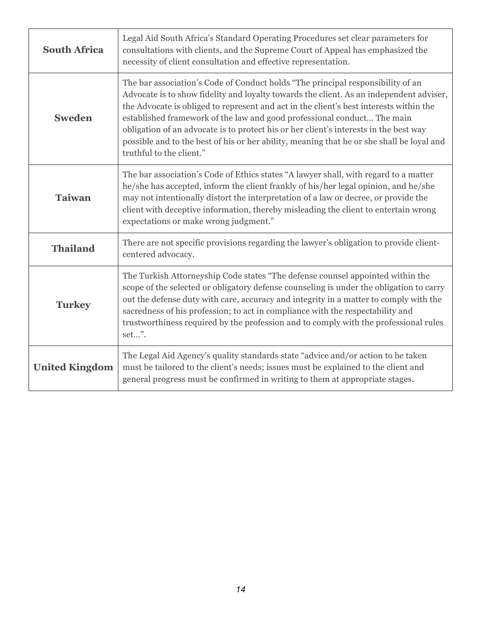| <b>South Africa</b>   | Legal Aid South Africa's Standard Operating Procedures set clear parameters for<br>consultations with clients, and the Supreme Court of Appeal has emphasized the<br>necessity of client consultation and effective representation.                                                                                                                                                                                                                                                                                                                               |
|-----------------------|-------------------------------------------------------------------------------------------------------------------------------------------------------------------------------------------------------------------------------------------------------------------------------------------------------------------------------------------------------------------------------------------------------------------------------------------------------------------------------------------------------------------------------------------------------------------|
| <b>Sweden</b>         | The bar association's Code of Conduct holds "The principal responsibility of an<br>Advocate is to show fidelity and loyalty towards the client. As an independent adviser,<br>the Advocate is obliged to represent and act in the client's best interests within the<br>established framework of the law and good professional conduct The main<br>obligation of an advocate is to protect his or her client's interests in the best way<br>possible and to the best of his or her ability, meaning that he or she shall be loyal and<br>truthful to the client." |
| <b>Taiwan</b>         | The bar association's Code of Ethics states "A lawyer shall, with regard to a matter<br>he/she has accepted, inform the client frankly of his/her legal opinion, and he/she<br>may not intentionally distort the interpretation of a law or decree, or provide the<br>client with deceptive information, thereby misleading the client to entertain wrong<br>expectations or make wrong judgment."                                                                                                                                                                |
| <b>Thailand</b>       | There are not specific provisions regarding the lawyer's obligation to provide client-<br>centered advocacy.                                                                                                                                                                                                                                                                                                                                                                                                                                                      |
| <b>Turkey</b>         | The Turkish Attorneyship Code states "The defense counsel appointed within the<br>scope of the selected or obligatory defense counseling is under the obligation to carry<br>out the defense duty with care, accuracy and integrity in a matter to comply with the<br>sacredness of his profession; to act in compliance with the respectability and<br>trustworthiness required by the profession and to comply with the professional rules<br>set".                                                                                                             |
| <b>United Kingdom</b> | The Legal Aid Agency's quality standards state "advice and/or action to be taken<br>must be tailored to the client's needs; issues must be explained to the client and<br>general progress must be confirmed in writing to them at appropriate stages.                                                                                                                                                                                                                                                                                                            |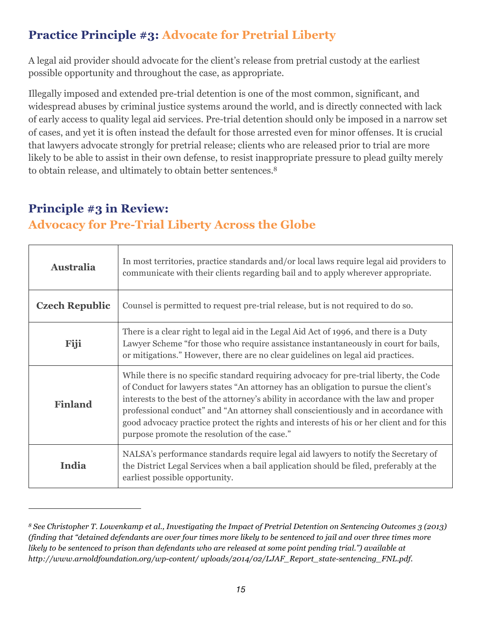### **Practice Principle #3: Advocate for Pretrial Liberty**

A legal aid provider should advocate for the client's release from pretrial custody at the earliest possible opportunity and throughout the case, as appropriate.

Illegally imposed and extended pre-trial detention is one of the most common, significant, and widespread abuses by criminal justice systems around the world, and is directly connected with lack of early access to quality legal aid services. Pre-trial detention should only be imposed in a narrow set of cases, and yet it is often instead the default for those arrested even for minor offenses. It is crucial that lawyers advocate strongly for pretrial release; clients who are released prior to trial are more likely to be able to assist in their own defense, to resist inappropriate pressure to plead guilty merely to obtain release, and ultimately to obtain better sentences.8

# **Principle #3 in Review:**

#### **Advocacy for Pre-Trial Liberty Across the Globe**

| <b>Australia</b>      | In most territories, practice standards and/or local laws require legal aid providers to<br>communicate with their clients regarding bail and to apply wherever appropriate.                                                                                                                                                                                                                                                                                                                               |
|-----------------------|------------------------------------------------------------------------------------------------------------------------------------------------------------------------------------------------------------------------------------------------------------------------------------------------------------------------------------------------------------------------------------------------------------------------------------------------------------------------------------------------------------|
| <b>Czech Republic</b> | Counsel is permitted to request pre-trial release, but is not required to do so.                                                                                                                                                                                                                                                                                                                                                                                                                           |
| Fiji                  | There is a clear right to legal aid in the Legal Aid Act of 1996, and there is a Duty<br>Lawyer Scheme "for those who require assistance instantaneously in court for bails,<br>or mitigations." However, there are no clear guidelines on legal aid practices.                                                                                                                                                                                                                                            |
| <b>Finland</b>        | While there is no specific standard requiring advocacy for pre-trial liberty, the Code<br>of Conduct for lawyers states "An attorney has an obligation to pursue the client's<br>interests to the best of the attorney's ability in accordance with the law and proper<br>professional conduct" and "An attorney shall conscientiously and in accordance with<br>good advocacy practice protect the rights and interests of his or her client and for this<br>purpose promote the resolution of the case." |
| India                 | NALSA's performance standards require legal aid lawyers to notify the Secretary of<br>the District Legal Services when a bail application should be filed, preferably at the<br>earliest possible opportunity.                                                                                                                                                                                                                                                                                             |

*<sup>8</sup> See Christopher T. Lowenkamp et al., Investigating the Impact of Pretrial Detention on Sentencing Outcomes 3 (2013) (finding that "detained defendants are over four times more likely to be sentenced to jail and over three times more likely to be sentenced to prison than defendants who are released at some point pending trial.") available at http://www.arnoldfoundation.org/wp-content/ uploads/2014/02/LJAF\_Report\_state-sentencing\_FNL.pdf.*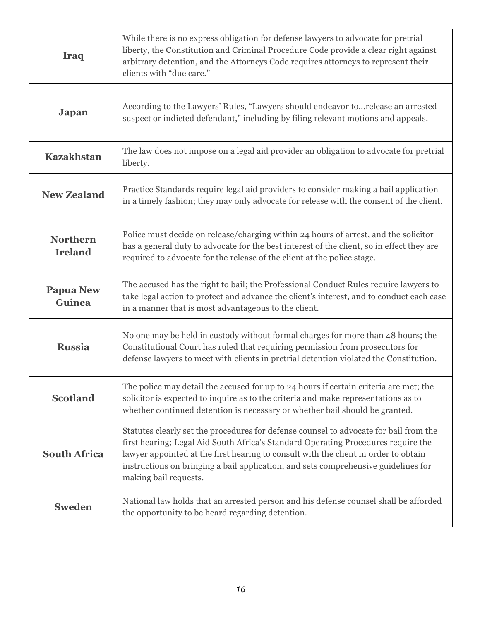| <b>Iraq</b>                       | While there is no express obligation for defense lawyers to advocate for pretrial<br>liberty, the Constitution and Criminal Procedure Code provide a clear right against<br>arbitrary detention, and the Attorneys Code requires attorneys to represent their<br>clients with "due care."                                                                                        |
|-----------------------------------|----------------------------------------------------------------------------------------------------------------------------------------------------------------------------------------------------------------------------------------------------------------------------------------------------------------------------------------------------------------------------------|
| <b>Japan</b>                      | According to the Lawyers' Rules, "Lawyers should endeavor to release an arrested<br>suspect or indicted defendant," including by filing relevant motions and appeals.                                                                                                                                                                                                            |
| <b>Kazakhstan</b>                 | The law does not impose on a legal aid provider an obligation to advocate for pretrial<br>liberty.                                                                                                                                                                                                                                                                               |
| <b>New Zealand</b>                | Practice Standards require legal aid providers to consider making a bail application<br>in a timely fashion; they may only advocate for release with the consent of the client.                                                                                                                                                                                                  |
| <b>Northern</b><br><b>Ireland</b> | Police must decide on release/charging within 24 hours of arrest, and the solicitor<br>has a general duty to advocate for the best interest of the client, so in effect they are<br>required to advocate for the release of the client at the police stage.                                                                                                                      |
| <b>Papua New</b><br><b>Guinea</b> | The accused has the right to bail; the Professional Conduct Rules require lawyers to<br>take legal action to protect and advance the client's interest, and to conduct each case<br>in a manner that is most advantageous to the client.                                                                                                                                         |
| <b>Russia</b>                     | No one may be held in custody without formal charges for more than 48 hours; the<br>Constitutional Court has ruled that requiring permission from prosecutors for<br>defense lawyers to meet with clients in pretrial detention violated the Constitution.                                                                                                                       |
| <b>Scotland</b>                   | The police may detail the accused for up to 24 hours if certain criteria are met; the<br>solicitor is expected to inquire as to the criteria and make representations as to<br>whether continued detention is necessary or whether bail should be granted.                                                                                                                       |
| <b>South Africa</b>               | Statutes clearly set the procedures for defense counsel to advocate for bail from the<br>first hearing; Legal Aid South Africa's Standard Operating Procedures require the<br>lawyer appointed at the first hearing to consult with the client in order to obtain<br>instructions on bringing a bail application, and sets comprehensive guidelines for<br>making bail requests. |
| <b>Sweden</b>                     | National law holds that an arrested person and his defense counsel shall be afforded<br>the opportunity to be heard regarding detention.                                                                                                                                                                                                                                         |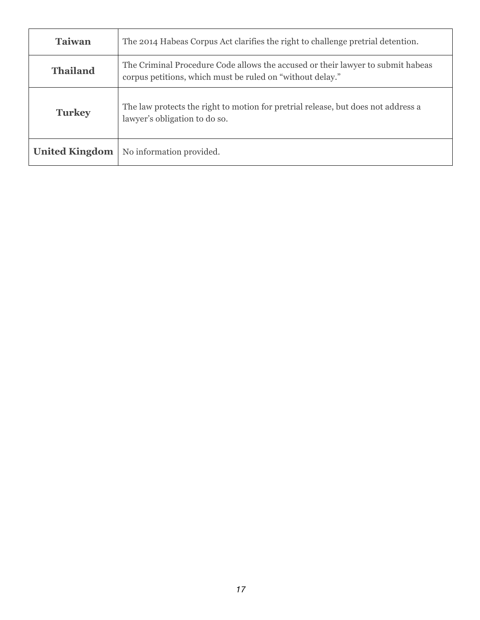| <b>Taiwan</b>         | The 2014 Habeas Corpus Act clarifies the right to challenge pretrial detention.                                                              |
|-----------------------|----------------------------------------------------------------------------------------------------------------------------------------------|
| <b>Thailand</b>       | The Criminal Procedure Code allows the accused or their lawyer to submit habeas<br>corpus petitions, which must be ruled on "without delay." |
| <b>Turkey</b>         | The law protects the right to motion for pretrial release, but does not address a<br>lawyer's obligation to do so.                           |
| <b>United Kingdom</b> | No information provided.                                                                                                                     |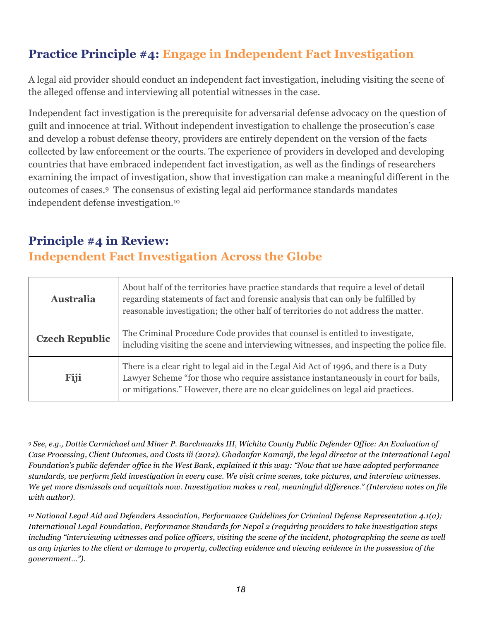### **Practice Principle #4: Engage in Independent Fact Investigation**

A legal aid provider should conduct an independent fact investigation, including visiting the scene of the alleged offense and interviewing all potential witnesses in the case.

Independent fact investigation is the prerequisite for adversarial defense advocacy on the question of guilt and innocence at trial. Without independent investigation to challenge the prosecution's case and develop a robust defense theory, providers are entirely dependent on the version of the facts collected by law enforcement or the courts. The experience of providers in developed and developing countries that have embraced independent fact investigation, as well as the findings of researchers examining the impact of investigation, show that investigation can make a meaningful different in the outcomes of cases.9 The consensus of existing legal aid performance standards mandates independent defense investigation.10

### **Principle #4 in Review: Independent Fact Investigation Across the Globe**

| Australia             | About half of the territories have practice standards that require a level of detail<br>regarding statements of fact and forensic analysis that can only be fulfilled by<br>reasonable investigation; the other half of territories do not address the matter.  |
|-----------------------|-----------------------------------------------------------------------------------------------------------------------------------------------------------------------------------------------------------------------------------------------------------------|
| <b>Czech Republic</b> | The Criminal Procedure Code provides that counsel is entitled to investigate,<br>including visiting the scene and interviewing witnesses, and inspecting the police file.                                                                                       |
| Fiji                  | There is a clear right to legal aid in the Legal Aid Act of 1996, and there is a Duty<br>Lawyer Scheme "for those who require assistance instantaneously in court for bails,<br>or mitigations." However, there are no clear guidelines on legal aid practices. |

*<sup>9</sup> See, e.g., Dottie Carmichael and Miner P. Barchmanks III, Wichita County Public Defender Office: An Evaluation of Case Processing, Client Outcomes, and Costs iii (2012). Ghadanfar Kamanji, the legal director at the International Legal Foundation's public defender office in the West Bank, explained it this way: "Now that we have adopted performance standards, we perform field investigation in every case. We visit crime scenes, take pictures, and interview witnesses. We get more dismissals and acquittals now. Investigation makes a real, meaningful difference." (Interview notes on file with author).*

*<sup>10</sup> National Legal Aid and Defenders Association, Performance Guidelines for Criminal Defense Representation 4.1(a); International Legal Foundation, Performance Standards for Nepal 2 (requiring providers to take investigation steps including "interviewing witnesses and police officers, visiting the scene of the incident, photographing the scene as well as any injuries to the client or damage to property, collecting evidence and viewing evidence in the possession of the government…").*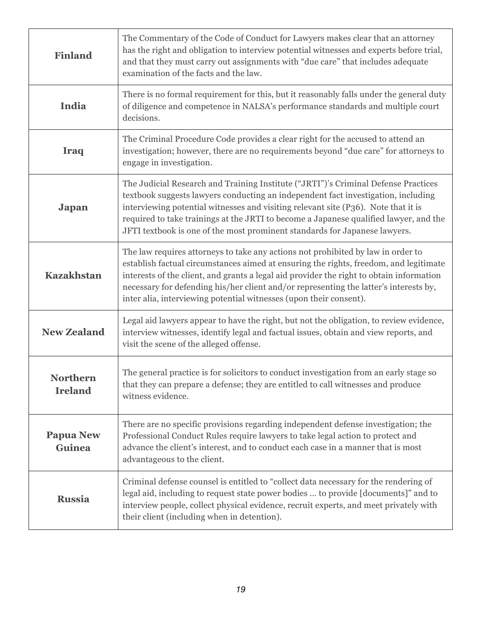| <b>Finland</b>                    | The Commentary of the Code of Conduct for Lawyers makes clear that an attorney<br>has the right and obligation to interview potential witnesses and experts before trial,<br>and that they must carry out assignments with "due care" that includes adequate<br>examination of the facts and the law.                                                                                                                                |
|-----------------------------------|--------------------------------------------------------------------------------------------------------------------------------------------------------------------------------------------------------------------------------------------------------------------------------------------------------------------------------------------------------------------------------------------------------------------------------------|
| India                             | There is no formal requirement for this, but it reasonably falls under the general duty<br>of diligence and competence in NALSA's performance standards and multiple court<br>decisions.                                                                                                                                                                                                                                             |
| Iraq                              | The Criminal Procedure Code provides a clear right for the accused to attend an<br>investigation; however, there are no requirements beyond "due care" for attorneys to<br>engage in investigation.                                                                                                                                                                                                                                  |
| <b>Japan</b>                      | The Judicial Research and Training Institute ("JRTI")'s Criminal Defense Practices<br>textbook suggests lawyers conducting an independent fact investigation, including<br>interviewing potential witnesses and visiting relevant site (P36). Note that it is<br>required to take trainings at the JRTI to become a Japanese qualified lawyer, and the<br>JFTI textbook is one of the most prominent standards for Japanese lawyers. |
| <b>Kazakhstan</b>                 | The law requires attorneys to take any actions not prohibited by law in order to<br>establish factual circumstances aimed at ensuring the rights, freedom, and legitimate<br>interests of the client, and grants a legal aid provider the right to obtain information<br>necessary for defending his/her client and/or representing the latter's interests by,<br>inter alia, interviewing potential witnesses (upon their consent). |
| <b>New Zealand</b>                | Legal aid lawyers appear to have the right, but not the obligation, to review evidence,<br>interview witnesses, identify legal and factual issues, obtain and view reports, and<br>visit the scene of the alleged offense.                                                                                                                                                                                                           |
| Northern<br><b>Ireland</b>        | The general practice is for solicitors to conduct investigation from an early stage so<br>that they can prepare a defense; they are entitled to call witnesses and produce<br>witness evidence.                                                                                                                                                                                                                                      |
| <b>Papua New</b><br><b>Guinea</b> | There are no specific provisions regarding independent defense investigation; the<br>Professional Conduct Rules require lawyers to take legal action to protect and<br>advance the client's interest, and to conduct each case in a manner that is most<br>advantageous to the client.                                                                                                                                               |
| <b>Russia</b>                     | Criminal defense counsel is entitled to "collect data necessary for the rendering of<br>legal aid, including to request state power bodies  to provide [documents]" and to<br>interview people, collect physical evidence, recruit experts, and meet privately with<br>their client (including when in detention).                                                                                                                   |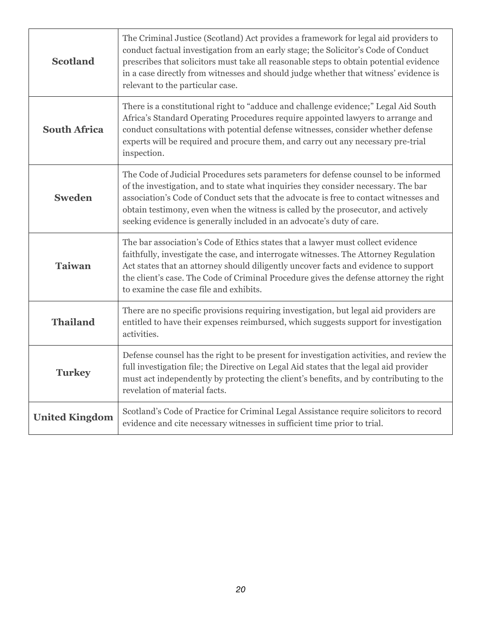| <b>Scotland</b>       | The Criminal Justice (Scotland) Act provides a framework for legal aid providers to<br>conduct factual investigation from an early stage; the Solicitor's Code of Conduct<br>prescribes that solicitors must take all reasonable steps to obtain potential evidence<br>in a case directly from witnesses and should judge whether that witness' evidence is<br>relevant to the particular case.                                 |
|-----------------------|---------------------------------------------------------------------------------------------------------------------------------------------------------------------------------------------------------------------------------------------------------------------------------------------------------------------------------------------------------------------------------------------------------------------------------|
| <b>South Africa</b>   | There is a constitutional right to "adduce and challenge evidence;" Legal Aid South<br>Africa's Standard Operating Procedures require appointed lawyers to arrange and<br>conduct consultations with potential defense witnesses, consider whether defense<br>experts will be required and procure them, and carry out any necessary pre-trial<br>inspection.                                                                   |
| <b>Sweden</b>         | The Code of Judicial Procedures sets parameters for defense counsel to be informed<br>of the investigation, and to state what inquiries they consider necessary. The bar<br>association's Code of Conduct sets that the advocate is free to contact witnesses and<br>obtain testimony, even when the witness is called by the prosecutor, and actively<br>seeking evidence is generally included in an advocate's duty of care. |
| <b>Taiwan</b>         | The bar association's Code of Ethics states that a lawyer must collect evidence<br>faithfully, investigate the case, and interrogate witnesses. The Attorney Regulation<br>Act states that an attorney should diligently uncover facts and evidence to support<br>the client's case. The Code of Criminal Procedure gives the defense attorney the right<br>to examine the case file and exhibits.                              |
| <b>Thailand</b>       | There are no specific provisions requiring investigation, but legal aid providers are<br>entitled to have their expenses reimbursed, which suggests support for investigation<br>activities.                                                                                                                                                                                                                                    |
| <b>Turkey</b>         | Defense counsel has the right to be present for investigation activities, and review the<br>full investigation file; the Directive on Legal Aid states that the legal aid provider<br>must act independently by protecting the client's benefits, and by contributing to the<br>revelation of material facts.                                                                                                                   |
| <b>United Kingdom</b> | Scotland's Code of Practice for Criminal Legal Assistance require solicitors to record<br>evidence and cite necessary witnesses in sufficient time prior to trial.                                                                                                                                                                                                                                                              |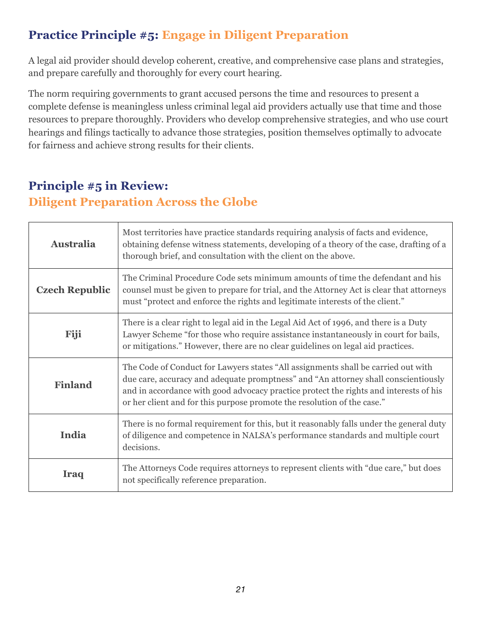#### **Practice Principle #5: Engage in Diligent Preparation**

A legal aid provider should develop coherent, creative, and comprehensive case plans and strategies, and prepare carefully and thoroughly for every court hearing.

The norm requiring governments to grant accused persons the time and resources to present a complete defense is meaningless unless criminal legal aid providers actually use that time and those resources to prepare thoroughly. Providers who develop comprehensive strategies, and who use court hearings and filings tactically to advance those strategies, position themselves optimally to advocate for fairness and achieve strong results for their clients.

#### **Principle #5 in Review: Diligent Preparation Across the Globe**

| <b>Australia</b>      | Most territories have practice standards requiring analysis of facts and evidence,<br>obtaining defense witness statements, developing of a theory of the case, drafting of a<br>thorough brief, and consultation with the client on the above.                                                                                             |
|-----------------------|---------------------------------------------------------------------------------------------------------------------------------------------------------------------------------------------------------------------------------------------------------------------------------------------------------------------------------------------|
| <b>Czech Republic</b> | The Criminal Procedure Code sets minimum amounts of time the defendant and his<br>counsel must be given to prepare for trial, and the Attorney Act is clear that attorneys<br>must "protect and enforce the rights and legitimate interests of the client."                                                                                 |
| Fiji                  | There is a clear right to legal aid in the Legal Aid Act of 1996, and there is a Duty<br>Lawyer Scheme "for those who require assistance instantaneously in court for bails,<br>or mitigations." However, there are no clear guidelines on legal aid practices.                                                                             |
| <b>Finland</b>        | The Code of Conduct for Lawyers states "All assignments shall be carried out with<br>due care, accuracy and adequate promptness" and "An attorney shall conscientiously<br>and in accordance with good advocacy practice protect the rights and interests of his<br>or her client and for this purpose promote the resolution of the case." |
| India                 | There is no formal requirement for this, but it reasonably falls under the general duty<br>of diligence and competence in NALSA's performance standards and multiple court<br>decisions.                                                                                                                                                    |
| Iraq                  | The Attorneys Code requires attorneys to represent clients with "due care," but does<br>not specifically reference preparation.                                                                                                                                                                                                             |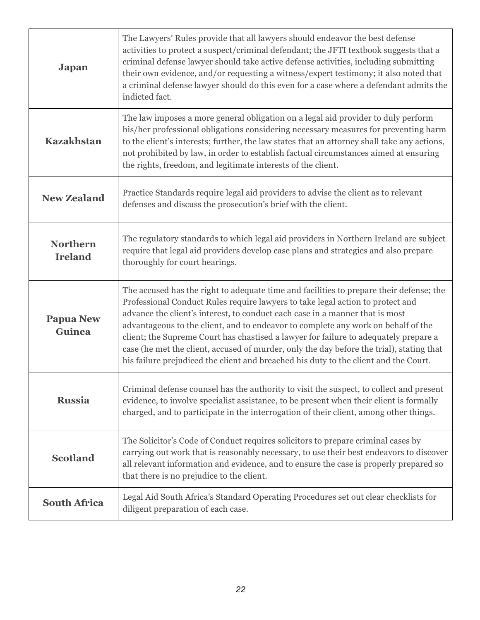| Japan                             | The Lawyers' Rules provide that all lawyers should endeavor the best defense<br>activities to protect a suspect/criminal defendant; the JFTI textbook suggests that a<br>criminal defense lawyer should take active defense activities, including submitting<br>their own evidence, and/or requesting a witness/expert testimony; it also noted that<br>a criminal defense lawyer should do this even for a case where a defendant admits the<br>indicted fact.                                                                                                                                                            |
|-----------------------------------|----------------------------------------------------------------------------------------------------------------------------------------------------------------------------------------------------------------------------------------------------------------------------------------------------------------------------------------------------------------------------------------------------------------------------------------------------------------------------------------------------------------------------------------------------------------------------------------------------------------------------|
| <b>Kazakhstan</b>                 | The law imposes a more general obligation on a legal aid provider to duly perform<br>his/her professional obligations considering necessary measures for preventing harm<br>to the client's interests; further, the law states that an attorney shall take any actions,<br>not prohibited by law, in order to establish factual circumstances aimed at ensuring<br>the rights, freedom, and legitimate interests of the client.                                                                                                                                                                                            |
| <b>New Zealand</b>                | Practice Standards require legal aid providers to advise the client as to relevant<br>defenses and discuss the prosecution's brief with the client.                                                                                                                                                                                                                                                                                                                                                                                                                                                                        |
| <b>Northern</b><br><b>Ireland</b> | The regulatory standards to which legal aid providers in Northern Ireland are subject<br>require that legal aid providers develop case plans and strategies and also prepare<br>thoroughly for court hearings.                                                                                                                                                                                                                                                                                                                                                                                                             |
| <b>Papua New</b><br><b>Guinea</b> | The accused has the right to adequate time and facilities to prepare their defense; the<br>Professional Conduct Rules require lawyers to take legal action to protect and<br>advance the client's interest, to conduct each case in a manner that is most<br>advantageous to the client, and to endeavor to complete any work on behalf of the<br>client; the Supreme Court has chastised a lawyer for failure to adequately prepare a<br>case (he met the client, accused of murder, only the day before the trial), stating that<br>his failure prejudiced the client and breached his duty to the client and the Court. |
| <b>Russia</b>                     | Criminal defense counsel has the authority to visit the suspect, to collect and present<br>evidence, to involve specialist assistance, to be present when their client is formally<br>charged, and to participate in the interrogation of their client, among other things.                                                                                                                                                                                                                                                                                                                                                |
| <b>Scotland</b>                   | The Solicitor's Code of Conduct requires solicitors to prepare criminal cases by<br>carrying out work that is reasonably necessary, to use their best endeavors to discover<br>all relevant information and evidence, and to ensure the case is properly prepared so<br>that there is no prejudice to the client.                                                                                                                                                                                                                                                                                                          |
| <b>South Africa</b>               | Legal Aid South Africa's Standard Operating Procedures set out clear checklists for<br>diligent preparation of each case.                                                                                                                                                                                                                                                                                                                                                                                                                                                                                                  |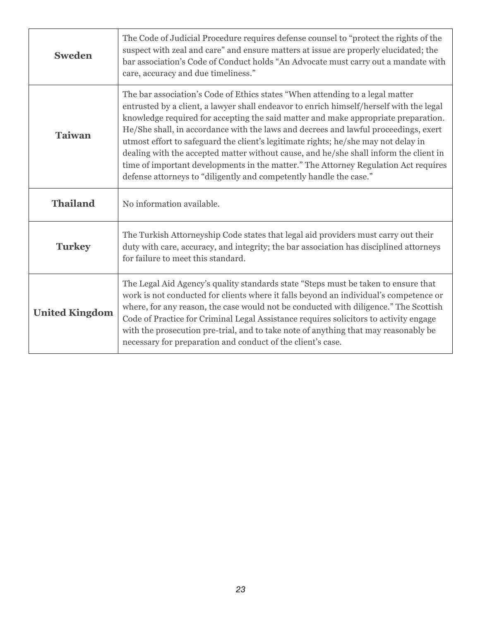| <b>Sweden</b>         | The Code of Judicial Procedure requires defense counsel to "protect the rights of the<br>suspect with zeal and care" and ensure matters at issue are properly elucidated; the<br>bar association's Code of Conduct holds "An Advocate must carry out a mandate with<br>care, accuracy and due timeliness."                                                                                                                                                                                                                                                                                                                                                                                        |
|-----------------------|---------------------------------------------------------------------------------------------------------------------------------------------------------------------------------------------------------------------------------------------------------------------------------------------------------------------------------------------------------------------------------------------------------------------------------------------------------------------------------------------------------------------------------------------------------------------------------------------------------------------------------------------------------------------------------------------------|
| <b>Taiwan</b>         | The bar association's Code of Ethics states "When attending to a legal matter<br>entrusted by a client, a lawyer shall endeavor to enrich himself/herself with the legal<br>knowledge required for accepting the said matter and make appropriate preparation.<br>He/She shall, in accordance with the laws and decrees and lawful proceedings, exert<br>utmost effort to safeguard the client's legitimate rights; he/she may not delay in<br>dealing with the accepted matter without cause, and he/she shall inform the client in<br>time of important developments in the matter." The Attorney Regulation Act requires<br>defense attorneys to "diligently and competently handle the case." |
| <b>Thailand</b>       | No information available.                                                                                                                                                                                                                                                                                                                                                                                                                                                                                                                                                                                                                                                                         |
| <b>Turkey</b>         | The Turkish Attorneyship Code states that legal aid providers must carry out their<br>duty with care, accuracy, and integrity; the bar association has disciplined attorneys<br>for failure to meet this standard.                                                                                                                                                                                                                                                                                                                                                                                                                                                                                |
| <b>United Kingdom</b> | The Legal Aid Agency's quality standards state "Steps must be taken to ensure that<br>work is not conducted for clients where it falls beyond an individual's competence or<br>where, for any reason, the case would not be conducted with diligence." The Scottish<br>Code of Practice for Criminal Legal Assistance requires solicitors to activity engage<br>with the prosecution pre-trial, and to take note of anything that may reasonably be<br>necessary for preparation and conduct of the client's case.                                                                                                                                                                                |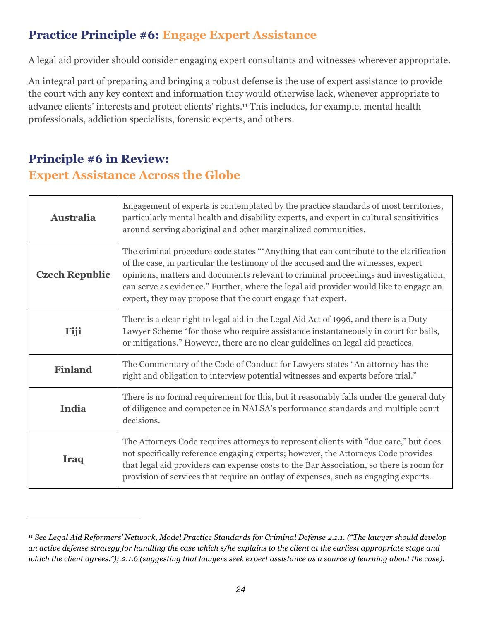#### **Practice Principle #6: Engage Expert Assistance**

A legal aid provider should consider engaging expert consultants and witnesses wherever appropriate.

An integral part of preparing and bringing a robust defense is the use of expert assistance to provide the court with any key context and information they would otherwise lack, whenever appropriate to advance clients' interests and protect clients' rights.11 This includes, for example, mental health professionals, addiction specialists, forensic experts, and others.

#### **Principle #6 in Review:**

#### **Expert Assistance Across the Globe**

| <b>Australia</b>      | Engagement of experts is contemplated by the practice standards of most territories,<br>particularly mental health and disability experts, and expert in cultural sensitivities<br>around serving aboriginal and other marginalized communities.                                                                                                                                                                           |
|-----------------------|----------------------------------------------------------------------------------------------------------------------------------------------------------------------------------------------------------------------------------------------------------------------------------------------------------------------------------------------------------------------------------------------------------------------------|
| <b>Czech Republic</b> | The criminal procedure code states ""Anything that can contribute to the clarification<br>of the case, in particular the testimony of the accused and the witnesses, expert<br>opinions, matters and documents relevant to criminal proceedings and investigation,<br>can serve as evidence." Further, where the legal aid provider would like to engage an<br>expert, they may propose that the court engage that expert. |
| Fiji                  | There is a clear right to legal aid in the Legal Aid Act of 1996, and there is a Duty<br>Lawyer Scheme "for those who require assistance instantaneously in court for bails,<br>or mitigations." However, there are no clear guidelines on legal aid practices.                                                                                                                                                            |
| <b>Finland</b>        | The Commentary of the Code of Conduct for Lawyers states "An attorney has the<br>right and obligation to interview potential witnesses and experts before trial."                                                                                                                                                                                                                                                          |
| India                 | There is no formal requirement for this, but it reasonably falls under the general duty<br>of diligence and competence in NALSA's performance standards and multiple court<br>decisions.                                                                                                                                                                                                                                   |
| Iraq                  | The Attorneys Code requires attorneys to represent clients with "due care," but does<br>not specifically reference engaging experts; however, the Attorneys Code provides<br>that legal aid providers can expense costs to the Bar Association, so there is room for<br>provision of services that require an outlay of expenses, such as engaging experts.                                                                |

*<sup>11</sup> See Legal Aid Reformers' Network, Model Practice Standards for Criminal Defense 2.1.1. ("The lawyer should develop an active defense strategy for handling the case which s/he explains to the client at the earliest appropriate stage and which the client agrees."); 2.1.6 (suggesting that lawyers seek expert assistance as a source of learning about the case).*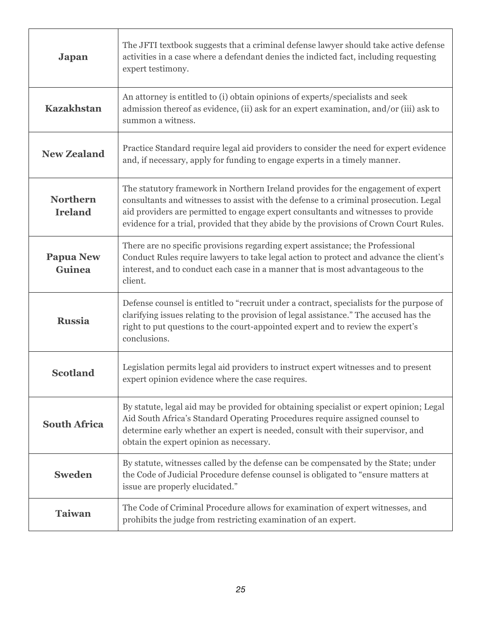| <b>Japan</b>                      | The JFTI textbook suggests that a criminal defense lawyer should take active defense<br>activities in a case where a defendant denies the indicted fact, including requesting<br>expert testimony.                                                                                                                                                        |
|-----------------------------------|-----------------------------------------------------------------------------------------------------------------------------------------------------------------------------------------------------------------------------------------------------------------------------------------------------------------------------------------------------------|
| <b>Kazakhstan</b>                 | An attorney is entitled to (i) obtain opinions of experts/specialists and seek<br>admission thereof as evidence, (ii) ask for an expert examination, and/or (iii) ask to<br>summon a witness.                                                                                                                                                             |
| <b>New Zealand</b>                | Practice Standard require legal aid providers to consider the need for expert evidence<br>and, if necessary, apply for funding to engage experts in a timely manner.                                                                                                                                                                                      |
| <b>Northern</b><br><b>Ireland</b> | The statutory framework in Northern Ireland provides for the engagement of expert<br>consultants and witnesses to assist with the defense to a criminal prosecution. Legal<br>aid providers are permitted to engage expert consultants and witnesses to provide<br>evidence for a trial, provided that they abide by the provisions of Crown Court Rules. |
| <b>Papua New</b><br>Guinea        | There are no specific provisions regarding expert assistance; the Professional<br>Conduct Rules require lawyers to take legal action to protect and advance the client's<br>interest, and to conduct each case in a manner that is most advantageous to the<br>client.                                                                                    |
| <b>Russia</b>                     | Defense counsel is entitled to "recruit under a contract, specialists for the purpose of<br>clarifying issues relating to the provision of legal assistance." The accused has the<br>right to put questions to the court-appointed expert and to review the expert's<br>conclusions.                                                                      |
| <b>Scotland</b>                   | Legislation permits legal aid providers to instruct expert witnesses and to present<br>expert opinion evidence where the case requires.                                                                                                                                                                                                                   |
| <b>South Africa</b>               | By statute, legal aid may be provided for obtaining specialist or expert opinion; Legal<br>Aid South Africa's Standard Operating Procedures require assigned counsel to<br>determine early whether an expert is needed, consult with their supervisor, and<br>obtain the expert opinion as necessary.                                                     |
| <b>Sweden</b>                     | By statute, witnesses called by the defense can be compensated by the State; under<br>the Code of Judicial Procedure defense counsel is obligated to "ensure matters at<br>issue are properly elucidated."                                                                                                                                                |
| <b>Taiwan</b>                     | The Code of Criminal Procedure allows for examination of expert witnesses, and<br>prohibits the judge from restricting examination of an expert.                                                                                                                                                                                                          |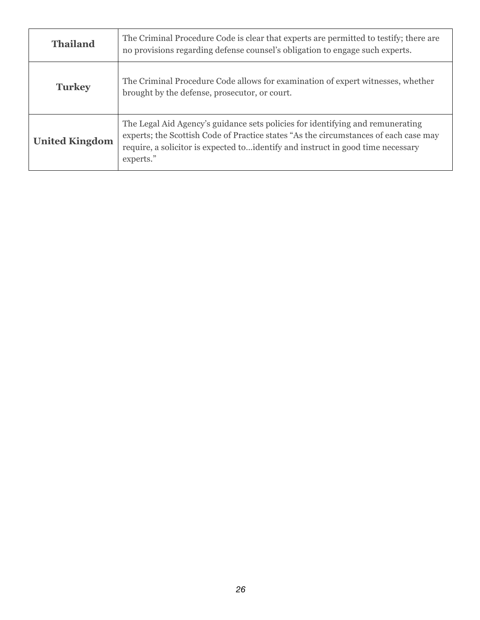| <b>Thailand</b>       | The Criminal Procedure Code is clear that experts are permitted to testify; there are<br>no provisions regarding defense counsel's obligation to engage such experts.                                                                                                   |
|-----------------------|-------------------------------------------------------------------------------------------------------------------------------------------------------------------------------------------------------------------------------------------------------------------------|
| <b>Turkey</b>         | The Criminal Procedure Code allows for examination of expert witnesses, whether<br>brought by the defense, prosecutor, or court.                                                                                                                                        |
| <b>United Kingdom</b> | The Legal Aid Agency's guidance sets policies for identifying and remunerating<br>experts; the Scottish Code of Practice states "As the circumstances of each case may<br>require, a solicitor is expected to identify and instruct in good time necessary<br>experts." |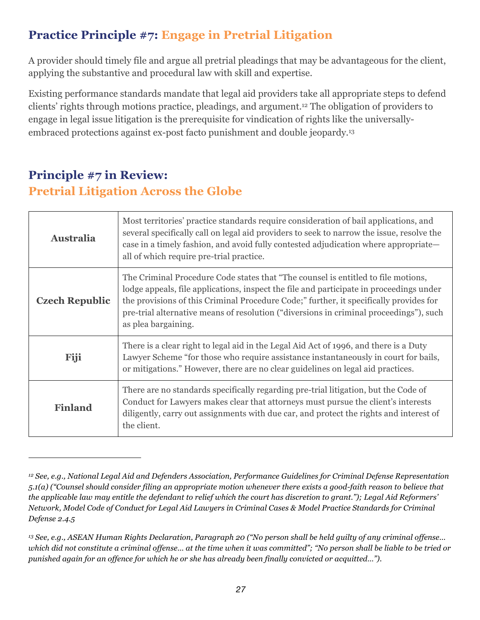### **Practice Principle #7: Engage in Pretrial Litigation**

A provider should timely file and argue all pretrial pleadings that may be advantageous for the client, applying the substantive and procedural law with skill and expertise.

Existing performance standards mandate that legal aid providers take all appropriate steps to defend clients' rights through motions practice, pleadings, and argument.12 The obligation of providers to engage in legal issue litigation is the prerequisite for vindication of rights like the universallyembraced protections against ex-post facto punishment and double jeopardy.13

#### **Principle #7 in Review: Pretrial Litigation Across the Globe**

| <b>Australia</b>      | Most territories' practice standards require consideration of bail applications, and<br>several specifically call on legal aid providers to seek to narrow the issue, resolve the<br>case in a timely fashion, and avoid fully contested adjudication where appropriate—<br>all of which require pre-trial practice.                                                                    |
|-----------------------|-----------------------------------------------------------------------------------------------------------------------------------------------------------------------------------------------------------------------------------------------------------------------------------------------------------------------------------------------------------------------------------------|
| <b>Czech Republic</b> | The Criminal Procedure Code states that "The counsel is entitled to file motions,<br>lodge appeals, file applications, inspect the file and participate in proceedings under<br>the provisions of this Criminal Procedure Code;" further, it specifically provides for<br>pre-trial alternative means of resolution ("diversions in criminal proceedings"), such<br>as plea bargaining. |
| Fiji                  | There is a clear right to legal aid in the Legal Aid Act of 1996, and there is a Duty<br>Lawyer Scheme "for those who require assistance instantaneously in court for bails,<br>or mitigations." However, there are no clear guidelines on legal aid practices.                                                                                                                         |
| <b>Finland</b>        | There are no standards specifically regarding pre-trial litigation, but the Code of<br>Conduct for Lawyers makes clear that attorneys must pursue the client's interests<br>diligently, carry out assignments with due car, and protect the rights and interest of<br>the client.                                                                                                       |

*<sup>12</sup> See, e.g., National Legal Aid and Defenders Association, Performance Guidelines for Criminal Defense Representation 5.1(a) ("Counsel should consider filing an appropriate motion whenever there exists a good-faith reason to believe that the applicable law may entitle the defendant to relief which the court has discretion to grant."); Legal Aid Reformers' Network, Model Code of Conduct for Legal Aid Lawyers in Criminal Cases & Model Practice Standards for Criminal Defense 2.4.5*

*<sup>13</sup> See, e.g., ASEAN Human Rights Declaration, Paragraph 20 ("No person shall be held guilty of any criminal offense… which did not constitute a criminal offense… at the time when it was committed"; "No person shall be liable to be tried or punished again for an offence for which he or she has already been finally convicted or acquitted…").*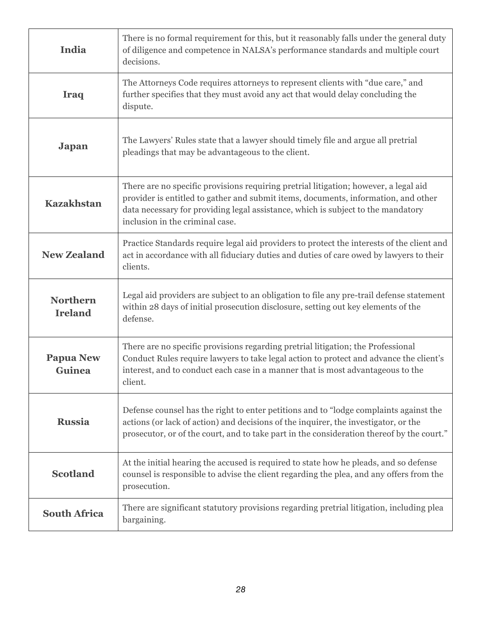| <b>India</b>                      | There is no formal requirement for this, but it reasonably falls under the general duty<br>of diligence and competence in NALSA's performance standards and multiple court<br>decisions.                                                                                                          |
|-----------------------------------|---------------------------------------------------------------------------------------------------------------------------------------------------------------------------------------------------------------------------------------------------------------------------------------------------|
| Iraq                              | The Attorneys Code requires attorneys to represent clients with "due care," and<br>further specifies that they must avoid any act that would delay concluding the<br>dispute.                                                                                                                     |
| <b>Japan</b>                      | The Lawyers' Rules state that a lawyer should timely file and argue all pretrial<br>pleadings that may be advantageous to the client.                                                                                                                                                             |
| <b>Kazakhstan</b>                 | There are no specific provisions requiring pretrial litigation; however, a legal aid<br>provider is entitled to gather and submit items, documents, information, and other<br>data necessary for providing legal assistance, which is subject to the mandatory<br>inclusion in the criminal case. |
| <b>New Zealand</b>                | Practice Standards require legal aid providers to protect the interests of the client and<br>act in accordance with all fiduciary duties and duties of care owed by lawyers to their<br>clients.                                                                                                  |
| <b>Northern</b><br><b>Ireland</b> | Legal aid providers are subject to an obligation to file any pre-trail defense statement<br>within 28 days of initial prosecution disclosure, setting out key elements of the<br>defense.                                                                                                         |
| <b>Papua New</b><br>Guinea        | There are no specific provisions regarding pretrial litigation; the Professional<br>Conduct Rules require lawyers to take legal action to protect and advance the client's<br>interest, and to conduct each case in a manner that is most advantageous to the<br>client.                          |
| <b>Russia</b>                     | Defense counsel has the right to enter petitions and to "lodge complaints against the<br>actions (or lack of action) and decisions of the inquirer, the investigator, or the<br>prosecutor, or of the court, and to take part in the consideration thereof by the court."                         |
| <b>Scotland</b>                   | At the initial hearing the accused is required to state how he pleads, and so defense<br>counsel is responsible to advise the client regarding the plea, and any offers from the<br>prosecution.                                                                                                  |
| <b>South Africa</b>               | There are significant statutory provisions regarding pretrial litigation, including plea<br>bargaining.                                                                                                                                                                                           |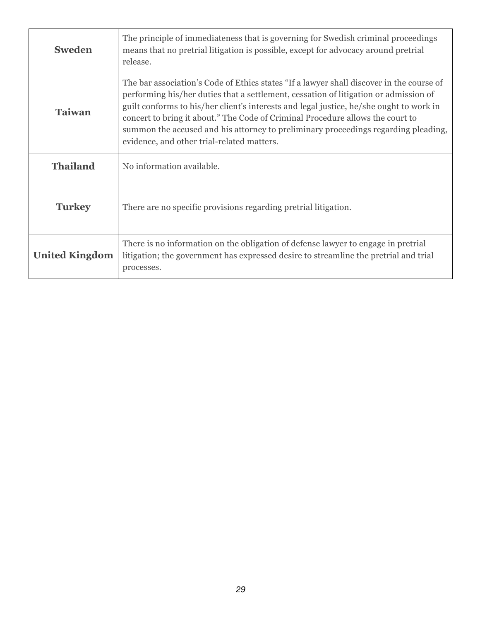| <b>Sweden</b>         | The principle of immediateness that is governing for Swedish criminal proceedings<br>means that no pretrial litigation is possible, except for advocacy around pretrial<br>release.                                                                                                                                                                                                                                                                                                               |
|-----------------------|---------------------------------------------------------------------------------------------------------------------------------------------------------------------------------------------------------------------------------------------------------------------------------------------------------------------------------------------------------------------------------------------------------------------------------------------------------------------------------------------------|
| <b>Taiwan</b>         | The bar association's Code of Ethics states "If a lawyer shall discover in the course of<br>performing his/her duties that a settlement, cessation of litigation or admission of<br>guilt conforms to his/her client's interests and legal justice, he/she ought to work in<br>concert to bring it about." The Code of Criminal Procedure allows the court to<br>summon the accused and his attorney to preliminary proceedings regarding pleading,<br>evidence, and other trial-related matters. |
| <b>Thailand</b>       | No information available.                                                                                                                                                                                                                                                                                                                                                                                                                                                                         |
| <b>Turkey</b>         | There are no specific provisions regarding pretrial litigation.                                                                                                                                                                                                                                                                                                                                                                                                                                   |
| <b>United Kingdom</b> | There is no information on the obligation of defense lawyer to engage in pretrial<br>litigation; the government has expressed desire to streamline the pretrial and trial<br>processes.                                                                                                                                                                                                                                                                                                           |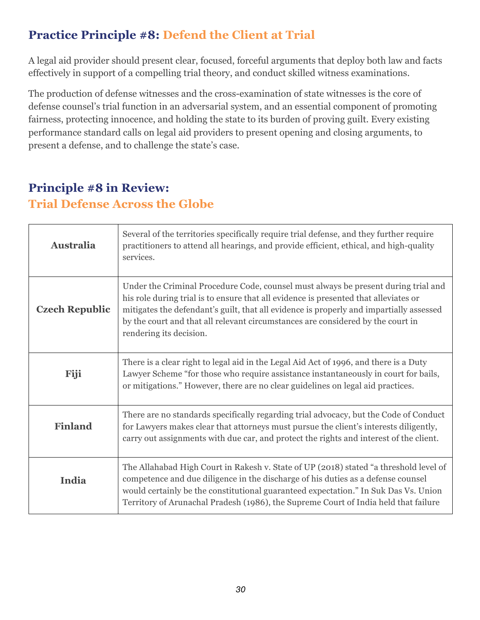### **Practice Principle #8: Defend the Client at Trial**

A legal aid provider should present clear, focused, forceful arguments that deploy both law and facts effectively in support of a compelling trial theory, and conduct skilled witness examinations.

The production of defense witnesses and the cross-examination of state witnesses is the core of defense counsel's trial function in an adversarial system, and an essential component of promoting fairness, protecting innocence, and holding the state to its burden of proving guilt. Every existing performance standard calls on legal aid providers to present opening and closing arguments, to present a defense, and to challenge the state's case.

#### **Principle #8 in Review: Trial Defense Across the Globe**

| <b>Australia</b>      | Several of the territories specifically require trial defense, and they further require<br>practitioners to attend all hearings, and provide efficient, ethical, and high-quality<br>services.                                                                                                                                                                                      |
|-----------------------|-------------------------------------------------------------------------------------------------------------------------------------------------------------------------------------------------------------------------------------------------------------------------------------------------------------------------------------------------------------------------------------|
| <b>Czech Republic</b> | Under the Criminal Procedure Code, counsel must always be present during trial and<br>his role during trial is to ensure that all evidence is presented that alleviates or<br>mitigates the defendant's guilt, that all evidence is properly and impartially assessed<br>by the court and that all relevant circumstances are considered by the court in<br>rendering its decision. |
| Fiji                  | There is a clear right to legal aid in the Legal Aid Act of 1996, and there is a Duty<br>Lawyer Scheme "for those who require assistance instantaneously in court for bails,<br>or mitigations." However, there are no clear guidelines on legal aid practices.                                                                                                                     |
| <b>Finland</b>        | There are no standards specifically regarding trial advocacy, but the Code of Conduct<br>for Lawyers makes clear that attorneys must pursue the client's interests diligently,<br>carry out assignments with due car, and protect the rights and interest of the client.                                                                                                            |
| India                 | The Allahabad High Court in Rakesh v. State of UP (2018) stated "a threshold level of<br>competence and due diligence in the discharge of his duties as a defense counsel<br>would certainly be the constitutional guaranteed expectation." In Suk Das Vs. Union<br>Territory of Arunachal Pradesh (1986), the Supreme Court of India held that failure                             |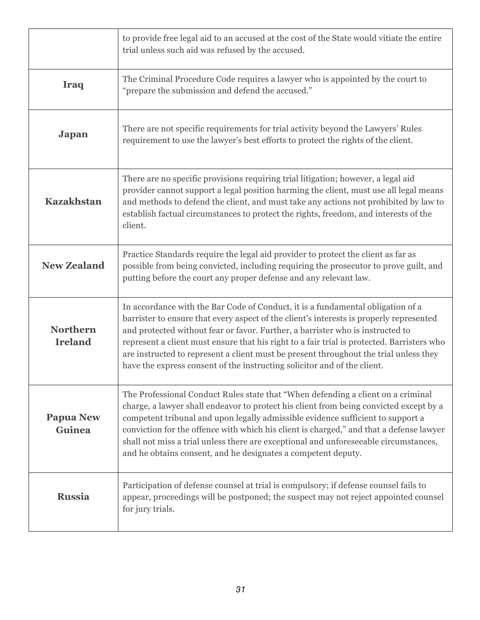|                                   | to provide free legal aid to an accused at the cost of the State would vitiate the entire<br>trial unless such aid was refused by the accused.                                                                                                                                                                                                                                                                                                                                                                                  |
|-----------------------------------|---------------------------------------------------------------------------------------------------------------------------------------------------------------------------------------------------------------------------------------------------------------------------------------------------------------------------------------------------------------------------------------------------------------------------------------------------------------------------------------------------------------------------------|
| <b>Iraq</b>                       | The Criminal Procedure Code requires a lawyer who is appointed by the court to<br>"prepare the submission and defend the accused."                                                                                                                                                                                                                                                                                                                                                                                              |
| <b>Japan</b>                      | There are not specific requirements for trial activity beyond the Lawyers' Rules<br>requirement to use the lawyer's best efforts to protect the rights of the client.                                                                                                                                                                                                                                                                                                                                                           |
| <b>Kazakhstan</b>                 | There are no specific provisions requiring trial litigation; however, a legal aid<br>provider cannot support a legal position harming the client, must use all legal means<br>and methods to defend the client, and must take any actions not prohibited by law to<br>establish factual circumstances to protect the rights, freedom, and interests of the<br>client.                                                                                                                                                           |
| <b>New Zealand</b>                | Practice Standards require the legal aid provider to protect the client as far as<br>possible from being convicted, including requiring the prosecutor to prove guilt, and<br>putting before the court any proper defense and any relevant law.                                                                                                                                                                                                                                                                                 |
| <b>Northern</b><br><b>Ireland</b> | In accordance with the Bar Code of Conduct, it is a fundamental obligation of a<br>barrister to ensure that every aspect of the client's interests is properly represented<br>and protected without fear or favor. Further, a barrister who is instructed to<br>represent a client must ensure that his right to a fair trial is protected. Barristers who<br>are instructed to represent a client must be present throughout the trial unless they<br>have the express consent of the instructing solicitor and of the client. |
| <b>Papua New</b><br><b>Guinea</b> | The Professional Conduct Rules state that "When defending a client on a criminal<br>charge, a lawyer shall endeavor to protect his client from being convicted except by a<br>competent tribunal and upon legally admissible evidence sufficient to support a<br>conviction for the offence with which his client is charged," and that a defense lawyer<br>shall not miss a trial unless there are exceptional and unforeseeable circumstances,<br>and he obtains consent, and he designates a competent deputy.               |
| <b>Russia</b>                     | Participation of defense counsel at trial is compulsory; if defense counsel fails to<br>appear, proceedings will be postponed; the suspect may not reject appointed counsel<br>for jury trials.                                                                                                                                                                                                                                                                                                                                 |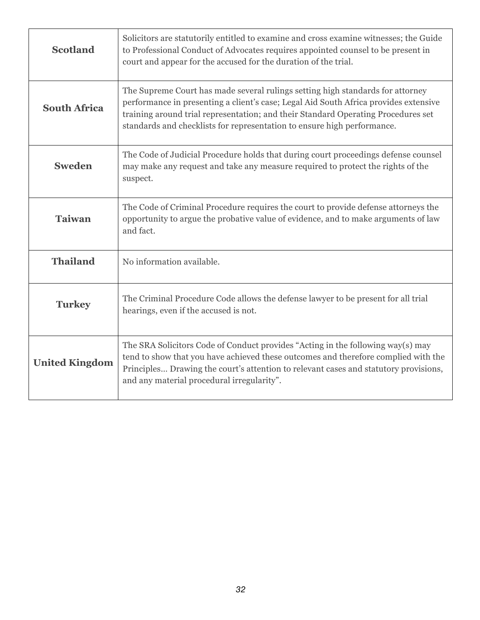| <b>Scotland</b>       | Solicitors are statutorily entitled to examine and cross examine witnesses; the Guide<br>to Professional Conduct of Advocates requires appointed counsel to be present in<br>court and appear for the accused for the duration of the trial.                                                                                           |
|-----------------------|----------------------------------------------------------------------------------------------------------------------------------------------------------------------------------------------------------------------------------------------------------------------------------------------------------------------------------------|
| <b>South Africa</b>   | The Supreme Court has made several rulings setting high standards for attorney<br>performance in presenting a client's case; Legal Aid South Africa provides extensive<br>training around trial representation; and their Standard Operating Procedures set<br>standards and checklists for representation to ensure high performance. |
| <b>Sweden</b>         | The Code of Judicial Procedure holds that during court proceedings defense counsel<br>may make any request and take any measure required to protect the rights of the<br>suspect.                                                                                                                                                      |
| <b>Taiwan</b>         | The Code of Criminal Procedure requires the court to provide defense attorneys the<br>opportunity to argue the probative value of evidence, and to make arguments of law<br>and fact.                                                                                                                                                  |
| <b>Thailand</b>       | No information available.                                                                                                                                                                                                                                                                                                              |
| <b>Turkey</b>         | The Criminal Procedure Code allows the defense lawyer to be present for all trial<br>hearings, even if the accused is not.                                                                                                                                                                                                             |
| <b>United Kingdom</b> | The SRA Solicitors Code of Conduct provides "Acting in the following way(s) may<br>tend to show that you have achieved these outcomes and therefore complied with the<br>Principles Drawing the court's attention to relevant cases and statutory provisions,<br>and any material procedural irregularity".                            |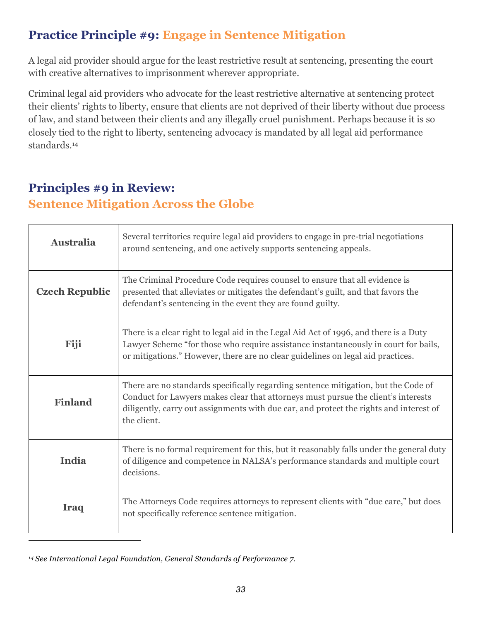#### **Practice Principle #9: Engage in Sentence Mitigation**

A legal aid provider should argue for the least restrictive result at sentencing, presenting the court with creative alternatives to imprisonment wherever appropriate.

Criminal legal aid providers who advocate for the least restrictive alternative at sentencing protect their clients' rights to liberty, ensure that clients are not deprived of their liberty without due process of law, and stand between their clients and any illegally cruel punishment. Perhaps because it is so closely tied to the right to liberty, sentencing advocacy is mandated by all legal aid performance standards.14

#### **Principles #9 in Review: Sentence Mitigation Across the Globe**

| <b>Australia</b>      | Several territories require legal aid providers to engage in pre-trial negotiations<br>around sentencing, and one actively supports sentencing appeals.                                                                                                                          |
|-----------------------|----------------------------------------------------------------------------------------------------------------------------------------------------------------------------------------------------------------------------------------------------------------------------------|
| <b>Czech Republic</b> | The Criminal Procedure Code requires counsel to ensure that all evidence is<br>presented that alleviates or mitigates the defendant's guilt, and that favors the<br>defendant's sentencing in the event they are found guilty.                                                   |
| Fiji                  | There is a clear right to legal aid in the Legal Aid Act of 1996, and there is a Duty<br>Lawyer Scheme "for those who require assistance instantaneously in court for bails,<br>or mitigations." However, there are no clear guidelines on legal aid practices.                  |
| <b>Finland</b>        | There are no standards specifically regarding sentence mitigation, but the Code of<br>Conduct for Lawyers makes clear that attorneys must pursue the client's interests<br>diligently, carry out assignments with due car, and protect the rights and interest of<br>the client. |
| India                 | There is no formal requirement for this, but it reasonably falls under the general duty<br>of diligence and competence in NALSA's performance standards and multiple court<br>decisions.                                                                                         |
| <b>Iraq</b>           | The Attorneys Code requires attorneys to represent clients with "due care," but does<br>not specifically reference sentence mitigation.                                                                                                                                          |

*<sup>14</sup> See International Legal Foundation, General Standards of Performance 7.*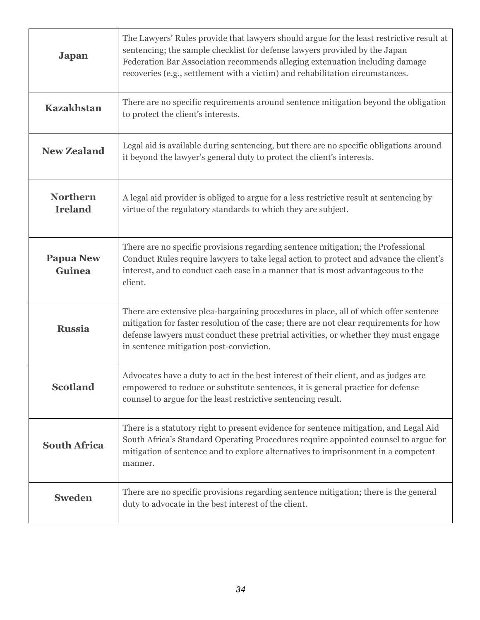| <b>Japan</b>                      | The Lawyers' Rules provide that lawyers should argue for the least restrictive result at<br>sentencing; the sample checklist for defense lawyers provided by the Japan<br>Federation Bar Association recommends alleging extenuation including damage<br>recoveries (e.g., settlement with a victim) and rehabilitation circumstances. |
|-----------------------------------|----------------------------------------------------------------------------------------------------------------------------------------------------------------------------------------------------------------------------------------------------------------------------------------------------------------------------------------|
| <b>Kazakhstan</b>                 | There are no specific requirements around sentence mitigation beyond the obligation<br>to protect the client's interests.                                                                                                                                                                                                              |
| <b>New Zealand</b>                | Legal aid is available during sentencing, but there are no specific obligations around<br>it beyond the lawyer's general duty to protect the client's interests.                                                                                                                                                                       |
| <b>Northern</b><br><b>Ireland</b> | A legal aid provider is obliged to argue for a less restrictive result at sentencing by<br>virtue of the regulatory standards to which they are subject.                                                                                                                                                                               |
| <b>Papua New</b><br><b>Guinea</b> | There are no specific provisions regarding sentence mitigation; the Professional<br>Conduct Rules require lawyers to take legal action to protect and advance the client's<br>interest, and to conduct each case in a manner that is most advantageous to the<br>client.                                                               |
| <b>Russia</b>                     | There are extensive plea-bargaining procedures in place, all of which offer sentence<br>mitigation for faster resolution of the case; there are not clear requirements for how<br>defense lawyers must conduct these pretrial activities, or whether they must engage<br>in sentence mitigation post-conviction.                       |
| <b>Scotland</b>                   | Advocates have a duty to act in the best interest of their client, and as judges are<br>empowered to reduce or substitute sentences, it is general practice for defense<br>counsel to argue for the least restrictive sentencing result.                                                                                               |
| <b>South Africa</b>               | There is a statutory right to present evidence for sentence mitigation, and Legal Aid<br>South Africa's Standard Operating Procedures require appointed counsel to argue for<br>mitigation of sentence and to explore alternatives to imprisonment in a competent<br>manner.                                                           |
| <b>Sweden</b>                     | There are no specific provisions regarding sentence mitigation; there is the general<br>duty to advocate in the best interest of the client.                                                                                                                                                                                           |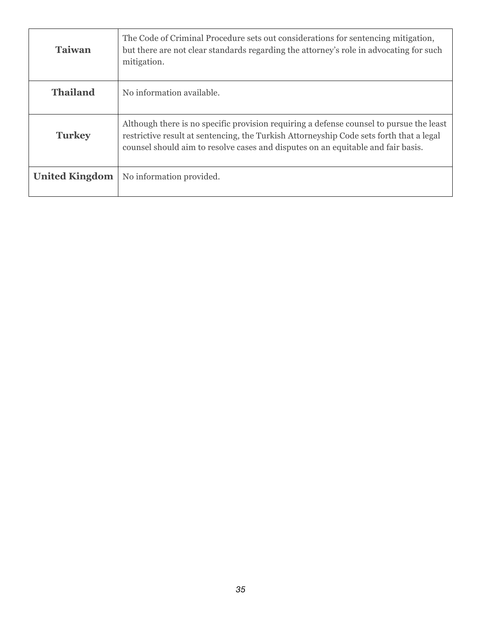| <b>Taiwan</b>         | The Code of Criminal Procedure sets out considerations for sentencing mitigation,<br>but there are not clear standards regarding the attorney's role in advocating for such<br>mitigation.                                                                             |
|-----------------------|------------------------------------------------------------------------------------------------------------------------------------------------------------------------------------------------------------------------------------------------------------------------|
| <b>Thailand</b>       | No information available.                                                                                                                                                                                                                                              |
| <b>Turkey</b>         | Although there is no specific provision requiring a defense counsel to pursue the least<br>restrictive result at sentencing, the Turkish Attorneyship Code sets forth that a legal<br>counsel should aim to resolve cases and disputes on an equitable and fair basis. |
| <b>United Kingdom</b> | No information provided.                                                                                                                                                                                                                                               |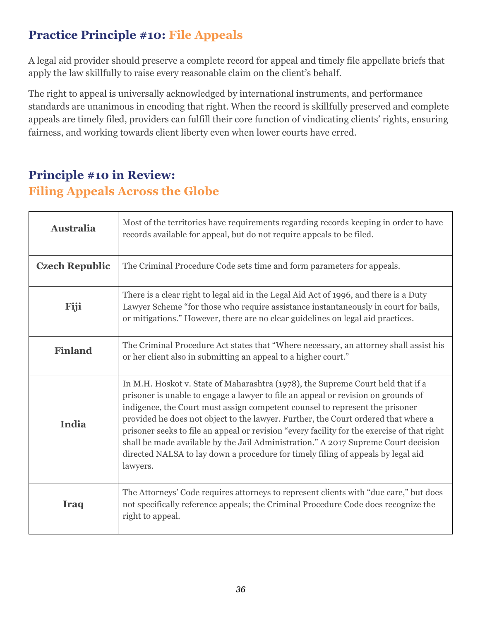### **Practice Principle #10: File Appeals**

A legal aid provider should preserve a complete record for appeal and timely file appellate briefs that apply the law skillfully to raise every reasonable claim on the client's behalf.

The right to appeal is universally acknowledged by international instruments, and performance standards are unanimous in encoding that right. When the record is skillfully preserved and complete appeals are timely filed, providers can fulfill their core function of vindicating clients' rights, ensuring fairness, and working towards client liberty even when lower courts have erred.

#### **Principle #10 in Review: Filing Appeals Across the Globe**

| <b>Australia</b>      | Most of the territories have requirements regarding records keeping in order to have<br>records available for appeal, but do not require appeals to be filed.                                                                                                                                                                                                                                                                                                                                                                                                                                                                   |
|-----------------------|---------------------------------------------------------------------------------------------------------------------------------------------------------------------------------------------------------------------------------------------------------------------------------------------------------------------------------------------------------------------------------------------------------------------------------------------------------------------------------------------------------------------------------------------------------------------------------------------------------------------------------|
| <b>Czech Republic</b> | The Criminal Procedure Code sets time and form parameters for appeals.                                                                                                                                                                                                                                                                                                                                                                                                                                                                                                                                                          |
| Fiji                  | There is a clear right to legal aid in the Legal Aid Act of 1996, and there is a Duty<br>Lawyer Scheme "for those who require assistance instantaneously in court for bails,<br>or mitigations." However, there are no clear guidelines on legal aid practices.                                                                                                                                                                                                                                                                                                                                                                 |
| <b>Finland</b>        | The Criminal Procedure Act states that "Where necessary, an attorney shall assist his<br>or her client also in submitting an appeal to a higher court."                                                                                                                                                                                                                                                                                                                                                                                                                                                                         |
| India                 | In M.H. Hoskot v. State of Maharashtra (1978), the Supreme Court held that if a<br>prisoner is unable to engage a lawyer to file an appeal or revision on grounds of<br>indigence, the Court must assign competent counsel to represent the prisoner<br>provided he does not object to the lawyer. Further, the Court ordered that where a<br>prisoner seeks to file an appeal or revision "every facility for the exercise of that right<br>shall be made available by the Jail Administration." A 2017 Supreme Court decision<br>directed NALSA to lay down a procedure for timely filing of appeals by legal aid<br>lawyers. |
| <b>Iraq</b>           | The Attorneys' Code requires attorneys to represent clients with "due care," but does<br>not specifically reference appeals; the Criminal Procedure Code does recognize the<br>right to appeal.                                                                                                                                                                                                                                                                                                                                                                                                                                 |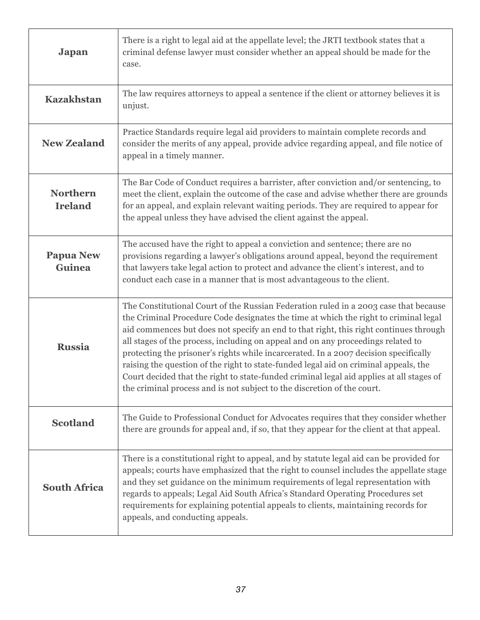| <b>Japan</b>                      | There is a right to legal aid at the appellate level; the JRTI textbook states that a<br>criminal defense lawyer must consider whether an appeal should be made for the<br>case.                                                                                                                                                                                                                                                                                                                                                                                                                                                                                                                                 |
|-----------------------------------|------------------------------------------------------------------------------------------------------------------------------------------------------------------------------------------------------------------------------------------------------------------------------------------------------------------------------------------------------------------------------------------------------------------------------------------------------------------------------------------------------------------------------------------------------------------------------------------------------------------------------------------------------------------------------------------------------------------|
| <b>Kazakhstan</b>                 | The law requires attorneys to appeal a sentence if the client or attorney believes it is<br>unjust.                                                                                                                                                                                                                                                                                                                                                                                                                                                                                                                                                                                                              |
| <b>New Zealand</b>                | Practice Standards require legal aid providers to maintain complete records and<br>consider the merits of any appeal, provide advice regarding appeal, and file notice of<br>appeal in a timely manner.                                                                                                                                                                                                                                                                                                                                                                                                                                                                                                          |
| <b>Northern</b><br><b>Ireland</b> | The Bar Code of Conduct requires a barrister, after conviction and/or sentencing, to<br>meet the client, explain the outcome of the case and advise whether there are grounds<br>for an appeal, and explain relevant waiting periods. They are required to appear for<br>the appeal unless they have advised the client against the appeal.                                                                                                                                                                                                                                                                                                                                                                      |
| <b>Papua New</b><br>Guinea        | The accused have the right to appeal a conviction and sentence; there are no<br>provisions regarding a lawyer's obligations around appeal, beyond the requirement<br>that lawyers take legal action to protect and advance the client's interest, and to<br>conduct each case in a manner that is most advantageous to the client.                                                                                                                                                                                                                                                                                                                                                                               |
| <b>Russia</b>                     | The Constitutional Court of the Russian Federation ruled in a 2003 case that because<br>the Criminal Procedure Code designates the time at which the right to criminal legal<br>aid commences but does not specify an end to that right, this right continues through<br>all stages of the process, including on appeal and on any proceedings related to<br>protecting the prisoner's rights while incarcerated. In a 2007 decision specifically<br>raising the question of the right to state-funded legal aid on criminal appeals, the<br>Court decided that the right to state-funded criminal legal aid applies at all stages of<br>the criminal process and is not subject to the discretion of the court. |
| <b>Scotland</b>                   | The Guide to Professional Conduct for Advocates requires that they consider whether<br>there are grounds for appeal and, if so, that they appear for the client at that appeal.                                                                                                                                                                                                                                                                                                                                                                                                                                                                                                                                  |
| <b>South Africa</b>               | There is a constitutional right to appeal, and by statute legal aid can be provided for<br>appeals; courts have emphasized that the right to counsel includes the appellate stage<br>and they set guidance on the minimum requirements of legal representation with<br>regards to appeals; Legal Aid South Africa's Standard Operating Procedures set<br>requirements for explaining potential appeals to clients, maintaining records for<br>appeals, and conducting appeals.                                                                                                                                                                                                                                   |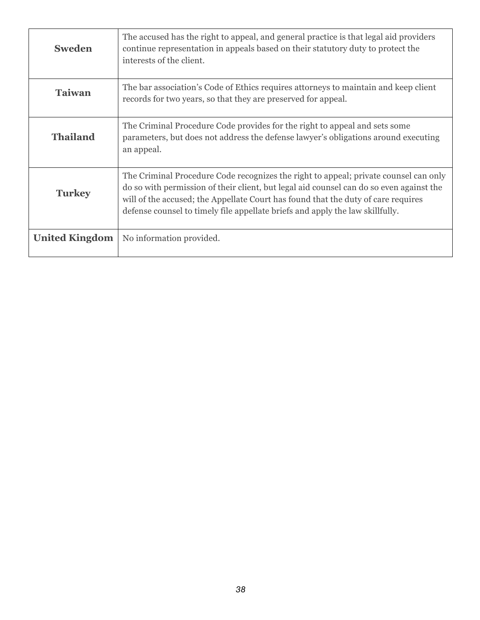| <b>Sweden</b>         | The accused has the right to appeal, and general practice is that legal aid providers<br>continue representation in appeals based on their statutory duty to protect the<br>interests of the client.                                                                                                                                                  |
|-----------------------|-------------------------------------------------------------------------------------------------------------------------------------------------------------------------------------------------------------------------------------------------------------------------------------------------------------------------------------------------------|
| <b>Taiwan</b>         | The bar association's Code of Ethics requires attorneys to maintain and keep client<br>records for two years, so that they are preserved for appeal.                                                                                                                                                                                                  |
| <b>Thailand</b>       | The Criminal Procedure Code provides for the right to appeal and sets some<br>parameters, but does not address the defense lawyer's obligations around executing<br>an appeal.                                                                                                                                                                        |
| <b>Turkey</b>         | The Criminal Procedure Code recognizes the right to appeal; private counsel can only<br>do so with permission of their client, but legal aid counsel can do so even against the<br>will of the accused; the Appellate Court has found that the duty of care requires<br>defense counsel to timely file appellate briefs and apply the law skillfully. |
| <b>United Kingdom</b> | No information provided.                                                                                                                                                                                                                                                                                                                              |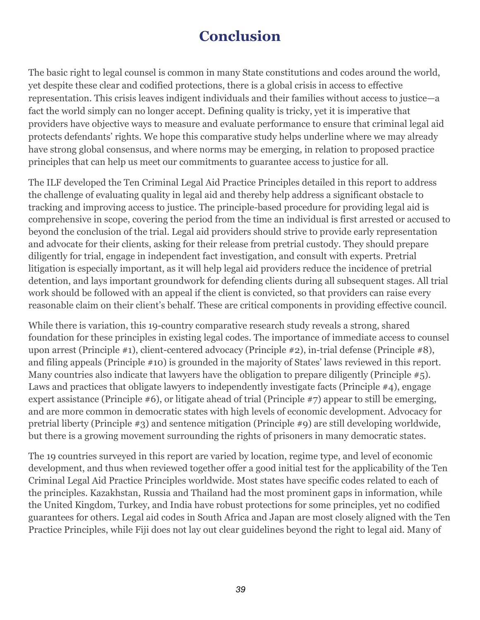# **Conclusion**

The basic right to legal counsel is common in many State constitutions and codes around the world, yet despite these clear and codified protections, there is a global crisis in access to effective representation. This crisis leaves indigent individuals and their families without access to justice—a fact the world simply can no longer accept. Defining quality is tricky, yet it is imperative that providers have objective ways to measure and evaluate performance to ensure that criminal legal aid protects defendants' rights. We hope this comparative study helps underline where we may already have strong global consensus, and where norms may be emerging, in relation to proposed practice principles that can help us meet our commitments to guarantee access to justice for all.

The ILF developed the Ten Criminal Legal Aid Practice Principles detailed in this report to address the challenge of evaluating quality in legal aid and thereby help address a significant obstacle to tracking and improving access to justice. The principle-based procedure for providing legal aid is comprehensive in scope, covering the period from the time an individual is first arrested or accused to beyond the conclusion of the trial. Legal aid providers should strive to provide early representation and advocate for their clients, asking for their release from pretrial custody. They should prepare diligently for trial, engage in independent fact investigation, and consult with experts. Pretrial litigation is especially important, as it will help legal aid providers reduce the incidence of pretrial detention, and lays important groundwork for defending clients during all subsequent stages. All trial work should be followed with an appeal if the client is convicted, so that providers can raise every reasonable claim on their client's behalf. These are critical components in providing effective council.

While there is variation, this 19-country comparative research study reveals a strong, shared foundation for these principles in existing legal codes. The importance of immediate access to counsel upon arrest (Principle #1), client-centered advocacy (Principle #2), in-trial defense (Principle #8), and filing appeals (Principle #10) is grounded in the majority of States' laws reviewed in this report. Many countries also indicate that lawyers have the obligation to prepare diligently (Principle #5). Laws and practices that obligate lawyers to independently investigate facts (Principle #4), engage expert assistance (Principle #6), or litigate ahead of trial (Principle #7) appear to still be emerging, and are more common in democratic states with high levels of economic development. Advocacy for pretrial liberty (Principle #3) and sentence mitigation (Principle #9) are still developing worldwide, but there is a growing movement surrounding the rights of prisoners in many democratic states.

The 19 countries surveyed in this report are varied by location, regime type, and level of economic development, and thus when reviewed together offer a good initial test for the applicability of the Ten Criminal Legal Aid Practice Principles worldwide. Most states have specific codes related to each of the principles. Kazakhstan, Russia and Thailand had the most prominent gaps in information, while the United Kingdom, Turkey, and India have robust protections for some principles, yet no codified guarantees for others. Legal aid codes in South Africa and Japan are most closely aligned with the Ten Practice Principles, while Fiji does not lay out clear guidelines beyond the right to legal aid. Many of